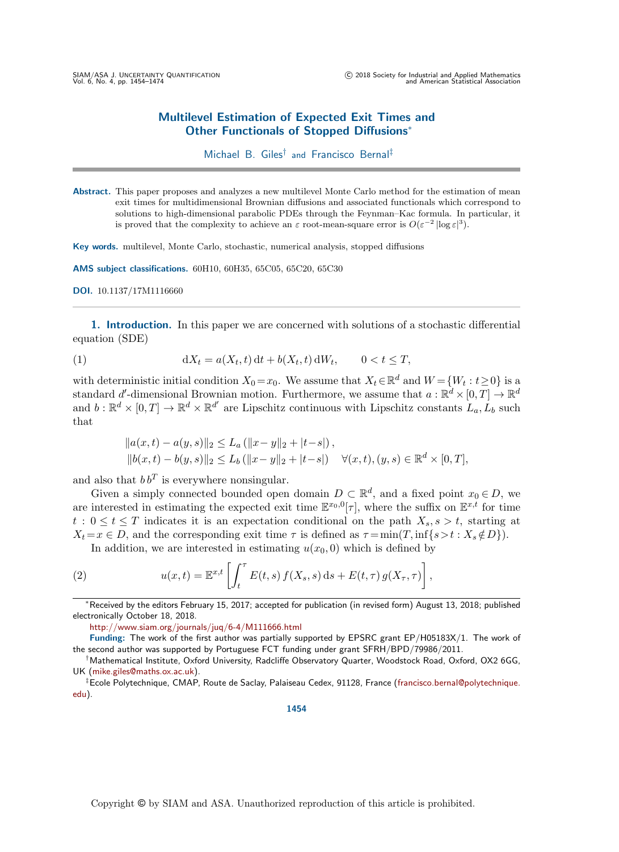# Multilevel Estimation of Expected Exit Times and Other Functionals of Stopped Diffusions<sup>∗</sup>

# Michael B. Giles<sup>†</sup> and Francisco Bernal<sup>‡</sup>

Abstract. This paper proposes and analyzes a new multilevel Monte Carlo method for the estimation of mean exit times for multidimensional Brownian diffusions and associated functionals which correspond to solutions to high-dimensional parabolic PDEs through the Feynman–Kac formula. In particular, it is proved that the complexity to achieve an  $\varepsilon$  root-mean-square error is  $O(\varepsilon^{-2} |\log \varepsilon|^3)$ .

Key words. multilevel, Monte Carlo, stochastic, numerical analysis, stopped diffusions

AMS subject classifications. 60H10, 60H35, 65C05, 65C20, 65C30

```
DOI. 10.1137/17M1116660
```
1. Introduction. In this paper we are concerned with solutions of a stochastic differential equation (SDE)

(1) 
$$
dX_t = a(X_t, t) dt + b(X_t, t) dW_t, \qquad 0 < t \leq T,
$$

with deterministic initial condition  $X_0 = x_0$ . We assume that  $X_t \in \mathbb{R}^d$  and  $W = \{W_t : t \geq 0\}$  is a standard d'-dimensional Brownian motion. Furthermore, we assume that  $a: \mathbb{R}^d \times [0,T] \to \mathbb{R}^d$ and  $b: \mathbb{R}^d \times [0,T] \to \mathbb{R}^d \times \mathbb{R}^{d'}$  are Lipschitz continuous with Lipschitz constants  $L_a, L_b$  such that

$$
||a(x,t) - a(y,s)||_2 \le L_a (||x-y||_2 + |t-s|),
$$
  
\n
$$
||b(x,t) - b(y,s)||_2 \le L_b (||x-y||_2 + |t-s|) \quad \forall (x,t), (y,s) \in \mathbb{R}^d \times [0,T],
$$

and also that  $b b<sup>T</sup>$  is everywhere nonsingular.

Given a simply connected bounded open domain  $D \subset \mathbb{R}^d$ , and a fixed point  $x_0 \in D$ , we are interested in estimating the expected exit time  $\mathbb{E}^{x_0,0}[\tau]$ , where the suffix on  $\mathbb{E}^{x,t}$  for time  $t : 0 \le t \le T$  indicates it is an expectation conditional on the path  $X_s, s > t$ , starting at  $X_t = x \in D$ , and the corresponding exit time  $\tau$  is defined as  $\tau = \min(T, \inf\{s > t : X_s \notin D\})$ .

<span id="page-0-0"></span>In addition, we are interested in estimating  $u(x_0, 0)$  which is defined by

(2) 
$$
u(x,t) = \mathbb{E}^{x,t} \left[ \int_t^{\tau} E(t,s) f(X_s,s) ds + E(t,\tau) g(X_{\tau},\tau) \right],
$$

<sup>∗</sup>Received by the editors February 15, 2017; accepted for publication (in revised form) August 13, 2018; published electronically October 18, 2018.

<http://www.siam.org/journals/juq/6-4/M111666.html>

Funding: The work of the first author was partially supported by EPSRC grant EP/H05183X/1. The work of the second author was supported by Portuguese FCT funding under grant SFRH/BPD/79986/2011.

‡Ecole Polytechnique, CMAP, Route de Saclay, Palaiseau Cedex, 91128, France [\(francisco.bernal@polytechnique.](mailto:francisco.bernal@polytechnique.edu) [edu\)](mailto:francisco.bernal@polytechnique.edu).

<sup>†</sup>Mathematical Institute, Oxford University, Radcliffe Observatory Quarter, Woodstock Road, Oxford, OX2 6GG, UK [\(mike.giles@maths.ox.ac.uk\)](mailto:mike.giles@maths.ox.ac.uk).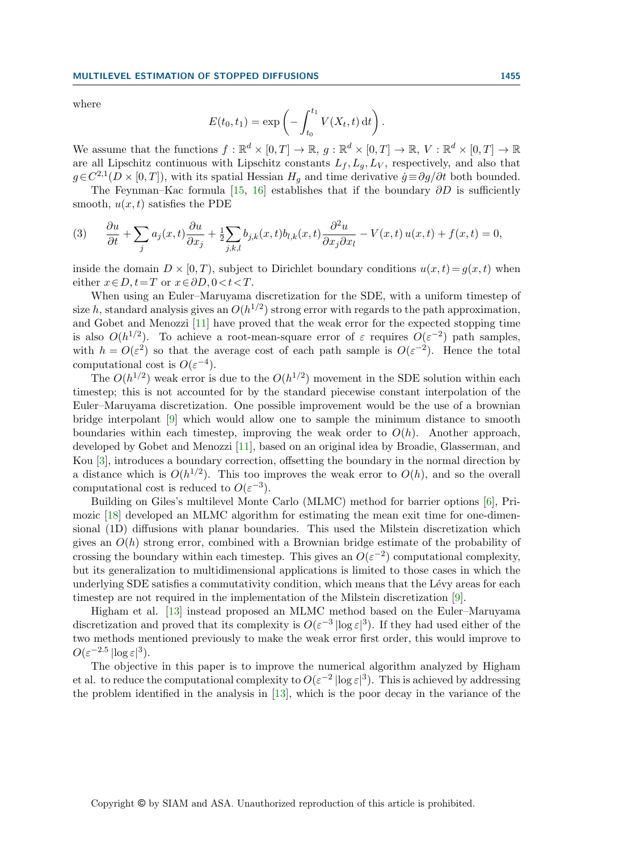where

$$
E(t_0, t_1) = \exp\left(-\int_{t_0}^{t_1} V(X_t, t) dt\right).
$$

We assume that the functions  $f : \mathbb{R}^d \times [0,T] \to \mathbb{R}, g : \mathbb{R}^d \times [0,T] \to \mathbb{R}, V : \mathbb{R}^d \times [0,T] \to \mathbb{R}$ are all Lipschitz continuous with Lipschitz constants  $L_f, L_g, L_V$ , respectively, and also that  $g \in C^{2,1}(D \times [0,T])$ , with its spatial Hessian  $H_g$  and time derivative  $\dot{g} \equiv \partial g / \partial t$  both bounded.

The Feynman–Kac formula [\[15,](#page-20-0) [16\]](#page-20-1) establishes that if the boundary  $\partial D$  is sufficiently smooth,  $u(x, t)$  satisfies the PDE

(3) 
$$
\frac{\partial u}{\partial t} + \sum_j a_j(x, t) \frac{\partial u}{\partial x_j} + \frac{1}{2} \sum_{j,k,l} b_{j,k}(x, t) b_{l,k}(x, t) \frac{\partial^2 u}{\partial x_j \partial x_l} - V(x, t) u(x, t) + f(x, t) = 0,
$$

inside the domain  $D \times [0, T)$ , subject to Dirichlet boundary conditions  $u(x, t) = g(x, t)$  when either  $x \in D$ ,  $t=T$  or  $x \in \partial D$ ,  $0 < t < T$ .

When using an Euler–Maruyama discretization for the SDE, with a uniform timestep of size h, standard analysis gives an  $O(h^{1/2})$  strong error with regards to the path approximation, and Gobet and Menozzi [\[11\]](#page-20-2) have proved that the weak error for the expected stopping time is also  $O(h^{1/2})$ . To achieve a root-mean-square error of  $\varepsilon$  requires  $O(\varepsilon^{-2})$  path samples, with  $h = O(\varepsilon^2)$  so that the average cost of each path sample is  $O(\varepsilon^{-2})$ . Hence the total computational cost is  $O(\varepsilon^{-4})$ .

The  $O(h^{1/2})$  weak error is due to the  $O(h^{1/2})$  movement in the SDE solution within each timestep; this is not accounted for by the standard piecewise constant interpolation of the Euler–Maruyama discretization. One possible improvement would be the use of a brownian bridge interpolant [\[9\]](#page-20-3) which would allow one to sample the minimum distance to smooth boundaries within each timestep, improving the weak order to  $O(h)$ . Another approach, developed by Gobet and Menozzi [\[11\]](#page-20-2), based on an original idea by Broadie, Glasserman, and Kou [\[3\]](#page-19-0), introduces a boundary correction, offsetting the boundary in the normal direction by a distance which is  $O(h^{1/2})$ . This too improves the weak error to  $O(h)$ , and so the overall computational cost is reduced to  $O(\varepsilon^{-3})$ .

Building on Giles's multilevel Monte Carlo (MLMC) method for barrier options [\[6\]](#page-20-4), Primozic [\[18\]](#page-20-5) developed an MLMC algorithm for estimating the mean exit time for one-dimensional (1D) diffusions with planar boundaries. This used the Milstein discretization which gives an  $O(h)$  strong error, combined with a Brownian bridge estimate of the probability of crossing the boundary within each timestep. This gives an  $O(\varepsilon^{-2})$  computational complexity, but its generalization to multidimensional applications is limited to those cases in which the underlying SDE satisfies a commutativity condition, which means that the Lévy areas for each timestep are not required in the implementation of the Milstein discretization [\[9\]](#page-20-3).

Higham et al. [\[13\]](#page-20-6) instead proposed an MLMC method based on the Euler–Maruyama discretization and proved that its complexity is  $O(\varepsilon^{-3} |\log \varepsilon|^3)$ . If they had used either of the two methods mentioned previously to make the weak error first order, this would improve to  $O(\varepsilon^{-2.5} \log \varepsilon^3).$ 

The objective in this paper is to improve the numerical algorithm analyzed by Higham et al. to reduce the computational complexity to  $O(\varepsilon^{-2} |\log \varepsilon|^3)$ . This is achieved by addressing the problem identified in the analysis in [\[13\]](#page-20-6), which is the poor decay in the variance of the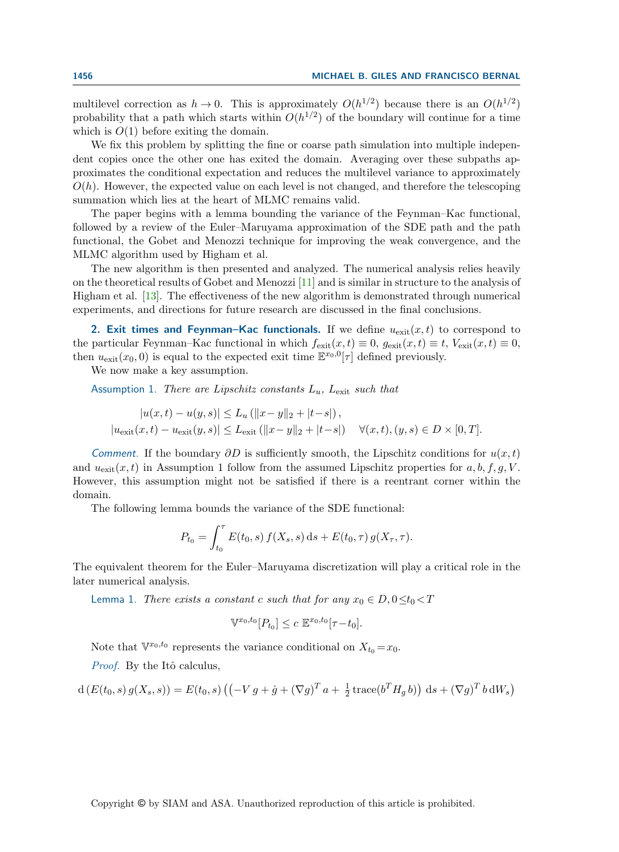multilevel correction as  $h \to 0$ . This is approximately  $O(h^{1/2})$  because there is an  $O(h^{1/2})$ probability that a path which starts within  $O(h^{1/2})$  of the boundary will continue for a time which is  $O(1)$  before exiting the domain.

We fix this problem by splitting the fine or coarse path simulation into multiple independent copies once the other one has exited the domain. Averaging over these subpaths approximates the conditional expectation and reduces the multilevel variance to approximately  $O(h)$ . However, the expected value on each level is not changed, and therefore the telescoping summation which lies at the heart of MLMC remains valid.

The paper begins with a lemma bounding the variance of the Feynman–Kac functional, followed by a review of the Euler–Maruyama approximation of the SDE path and the path functional, the Gobet and Menozzi technique for improving the weak convergence, and the MLMC algorithm used by Higham et al.

The new algorithm is then presented and analyzed. The numerical analysis relies heavily on the theoretical results of Gobet and Menozzi [\[11\]](#page-20-2) and is similar in structure to the analysis of Higham et al. [\[13\]](#page-20-6). The effectiveness of the new algorithm is demonstrated through numerical experiments, and directions for future research are discussed in the final conclusions.

2. Exit times and Feynman–Kac functionals. If we define  $u_{\text{exit}}(x, t)$  to correspond to the particular Feynman–Kac functional in which  $f_{\text{exit}}(x, t) \equiv 0$ ,  $g_{\text{exit}}(x, t) \equiv t$ ,  $V_{\text{exit}}(x, t) \equiv 0$ , then  $u_{\text{exit}}(x_0, 0)$  is equal to the expected exit time  $\mathbb{E}^{x_0,0}[\tau]$  defined previously.

We now make a key assumption.

Assumption 1. There are Lipschitz constants  $L_u$ ,  $L_{\text{exit}}$  such that

$$
|u(x,t) - u(y,s)| \le L_u (||x-y||_2 + |t-s|),
$$
  

$$
|u_{\text{exit}}(x,t) - u_{\text{exit}}(y,s)| \le L_{\text{exit}} (||x-y||_2 + |t-s|) \quad \forall (x,t), (y,s) \in D \times [0,T].
$$

Comment. If the boundary  $\partial D$  is sufficiently smooth, the Lipschitz conditions for  $u(x,t)$ and  $u_{\text{exit}}(x, t)$  in Assumption 1 follow from the assumed Lipschitz properties for a, b, f, g, V. However, this assumption might not be satisfied if there is a reentrant corner within the domain.

The following lemma bounds the variance of the SDE functional:

$$
P_{t_0} = \int_{t_0}^{\tau} E(t_0, s) f(X_s, s) ds + E(t_0, \tau) g(X_{\tau}, \tau).
$$

The equivalent theorem for the Euler–Maruyama discretization will play a critical role in the later numerical analysis.

<span id="page-2-0"></span>Lemma 1. There exists a constant c such that for any  $x_0 \in D$ ,  $0 \le t_0 < T$ 

$$
\mathbb{V}^{x_0,t_0}[P_{t_0}] \le c \ \mathbb{E}^{x_0,t_0}[\tau - t_0].
$$

Note that  $\mathbb{V}^{x_0,t_0}$  represents the variance conditional on  $X_{t_0} = x_0$ .

Proof. By the Itô calculus,

$$
d(E(t_0, s) g(X_s, s)) = E(t_0, s) \left( \left( -V g + \dot{g} + (\nabla g)^T a + \frac{1}{2} \operatorname{trace}(b^T H_g b) \right) ds + (\nabla g)^T b dW_s \right)
$$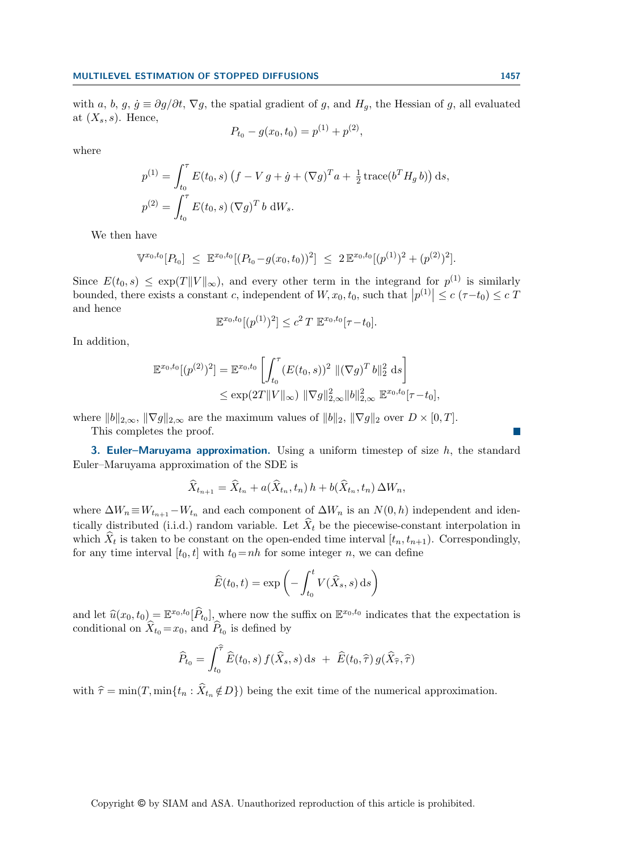with a, b, g,  $\dot{g} \equiv \partial g/\partial t$ ,  $\nabla g$ , the spatial gradient of g, and  $H_q$ , the Hessian of g, all evaluated at  $(X_s, s)$ . Hence,

$$
P_{t_0} - g(x_0, t_0) = p^{(1)} + p^{(2)},
$$

where

$$
p^{(1)} = \int_{t_0}^{\tau} E(t_0, s) (f - V g + \dot{g} + (\nabla g)^T a + \frac{1}{2} \operatorname{trace}(b^T H_g b)) ds,
$$
  

$$
p^{(2)} = \int_{t_0}^{\tau} E(t_0, s) (\nabla g)^T b dW_s.
$$

We then have

$$
\mathbb{V}^{x_0,t_0}[P_{t_0}] \leq \mathbb{E}^{x_0,t_0}[(P_{t_0}-g(x_0,t_0))^2] \leq 2 \mathbb{E}^{x_0,t_0}[(p^{(1)})^2+(p^{(2)})^2].
$$

Since  $E(t_0, s) \leq \exp(T||V||_{\infty})$ , and every other term in the integrand for  $p^{(1)}$  is similarly bounded, there exists a constant c, independent of  $W, x_0, t_0$ , such that  $|p^{(1)}| \le c \left(\tau - t_0\right) \le c T$ and hence

$$
\mathbb{E}^{x_0,t_0}[(p^{(1)})^2] \le c^2 T \mathbb{E}^{x_0,t_0}[\tau-t_0].
$$

In addition,

$$
\mathbb{E}^{x_0, t_0}[(p^{(2)})^2] = \mathbb{E}^{x_0, t_0} \left[ \int_{t_0}^{\tau} (E(t_0, s))^2 \, \| (\nabla g)^T b \|_2^2 \, ds \right]
$$
  

$$
\le \exp(2T \| V \|_{\infty}) \, \| \nabla g \|_{2, \infty}^2 \| b \|_{2, \infty}^2 \, \mathbb{E}^{x_0, t_0}[\tau - t_0],
$$

where  $||b||_{2,\infty}$ ,  $||\nabla g||_{2,\infty}$  are the maximum values of  $||b||_2$ ,  $||\nabla g||_2$  over  $D \times [0, T]$ .

This completes the proof.

**3. Euler–Maruyama approximation.** Using a uniform timestep of size  $h$ , the standard Euler–Maruyama approximation of the SDE is

$$
\widehat{X}_{t_{n+1}} = \widehat{X}_{t_n} + a(\widehat{X}_{t_n}, t_n) h + b(\widehat{X}_{t_n}, t_n) \Delta W_n,
$$

where  $\Delta W_n \equiv W_{t_{n+1}} - W_{t_n}$  and each component of  $\Delta W_n$  is an  $N(0, h)$  independent and identically distributed (i.i.d.) random variable. Let  $\hat{X}_t$  be the piecewise-constant interpolation in which  $X_t$  is taken to be constant on the open-ended time interval  $[t_n, t_{n+1})$ . Correspondingly, for any time interval  $[t_0, t]$  with  $t_0 = nh$  for some integer n, we can define

$$
\widehat{E}(t_0, t) = \exp\left(-\int_{t_0}^t V(\widehat{X}_s, s) \,ds\right)
$$

and let  $\hat{u}(x_0, t_0) = \mathbb{E}^{x_0, t_0}[\hat{P}_{t_0}]$ , where now the suffix on  $\mathbb{E}^{x_0, t_0}$  indicates that the expectation is conditional on  $\hat{X}_t = x_t$ , and  $\hat{P}_t$  is defined by conditional on  $X_{t_0} = x_0$ , and  $P_{t_0}$  is defined by

$$
\widehat{P}_{t_0} = \int_{t_0}^{\widehat{\tau}} \widehat{E}(t_0, s) f(\widehat{X}_s, s) \,ds \ + \ \widehat{E}(t_0, \widehat{\tau}) g(\widehat{X}_{\widehat{\tau}}, \widehat{\tau})
$$

with  $\hat{\tau} = \min(T, \min\{t_n : \hat{X}_{t_n} \notin D\})$  being the exit time of the numerical approximation.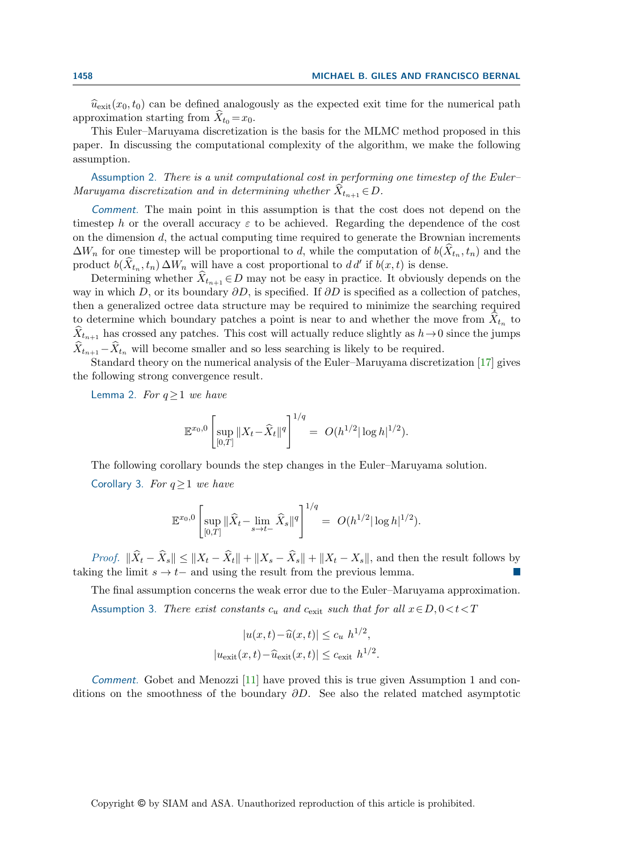$\widehat{u}_{\text{exit}}(x_0, t_0)$  can be defined analogously as the expected exit time for the numerical path approximation starting from  $\hat{X}_{t_0} = x_0$ .

This Euler–Maruyama discretization is the basis for the MLMC method proposed in this paper. In discussing the computational complexity of the algorithm, we make the following assumption.

Assumption 2. There is a unit computational cost in performing one timestep of the Euler– Maruyama discretization and in determining whether  $X_{t_{n+1}} \in D$ .

Comment. The main point in this assumption is that the cost does not depend on the timestep h or the overall accuracy  $\varepsilon$  to be achieved. Regarding the dependence of the cost on the dimension d, the actual computing time required to generate the Brownian increments  $\Delta W_n$  for one timestep will be proportional to d, while the computation of  $b(X_{t_n}, t_n)$  and the product  $b(\hat{X}_{t_n}, t_n) \Delta W_n$  will have a cost proportional to  $d d'$  if  $b(x, t)$  is dense.

Determining whether  $X_{t_{n+1}} \in D$  may not be easy in practice. It obviously depends on the way in which D, or its boundary  $\partial D$ , is specified. If  $\partial D$  is specified as a collection of patches, then a generalized octree data structure may be required to minimize the searching required to determine which boundary patches a point is near to and whether the move from  $X_{t_n}$  to  $\hat{X}_{t_{n+1}}$  has crossed any patches. This cost will actually reduce slightly as  $h\to 0$  since the jumps  $\hat{X}_{t_{n+1}}-\hat{X}_{t_n}$  will become smaller and so less searching is likely to be required.

Standard theory on the numerical analysis of the Euler–Maruyama discretization [\[17\]](#page-20-7) gives the following strong convergence result.

<span id="page-4-0"></span>Lemma 2. For  $q \geq 1$  we have

$$
\mathbb{E}^{x_0,0}\left[\sup_{[0,T]}\|X_t-\widehat{X}_t\|^q\right]^{1/q} = O(h^{1/2}|\log h|^{1/2}).
$$

<span id="page-4-1"></span>The following corollary bounds the step changes in the Euler–Maruyama solution. Corollary 3. For  $q \geq 1$  we have

$$
\mathbb{E}^{x_0,0}\left[\sup_{[0,T]}\|\widehat{X}_t-\lim_{s\to t-}\widehat{X}_s\|^q\right]^{1/q}=\ O(h^{1/2}|\log h|^{1/2}).
$$

*Proof.*  $\|\widehat{X}_t - \widehat{X}_s\| \leq \|X_t - \widehat{X}_t\| + \|X_s - \widehat{X}_s\| + \|X_t - X_s\|$ , and then the result follows by taking the limit  $s \to t-$  and using the result from the previous lemma.

The final assumption concerns the weak error due to the Euler–Maruyama approximation. Assumption 3. There exist constants  $c_u$  and  $c_{\text{exit}}$  such that for all  $x \in D, 0 \lt t \lt T$ 

$$
|u(x,t) - \widehat{u}(x,t)| \leq c_u h^{1/2},
$$
  

$$
|u_{\text{exit}}(x,t) - \widehat{u}_{\text{exit}}(x,t)| \leq c_{\text{exit}} h^{1/2}.
$$

Comment. Gobet and Menozzi [\[11\]](#page-20-2) have proved this is true given Assumption 1 and conditions on the smoothness of the boundary  $\partial D$ . See also the related matched asymptotic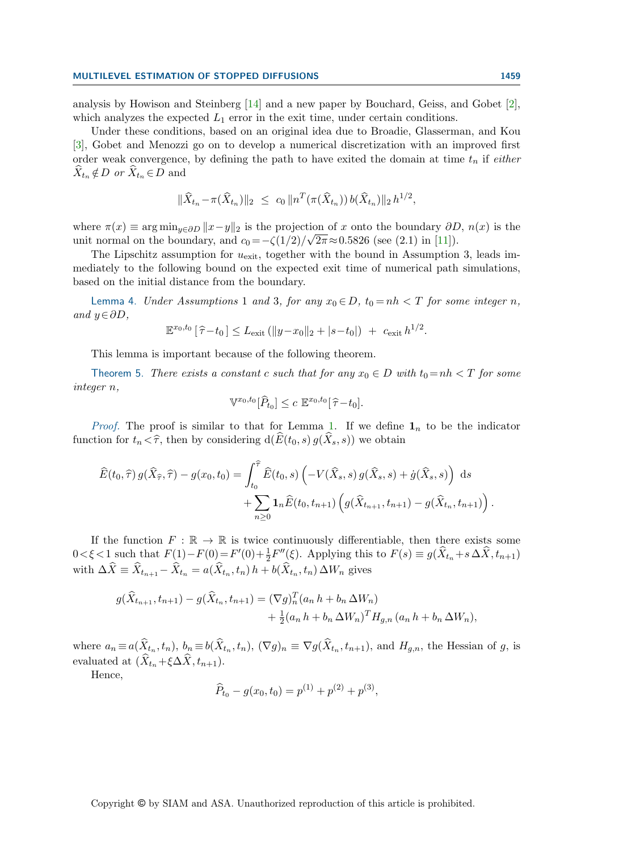analysis by Howison and Steinberg [\[14\]](#page-20-8) and a new paper by Bouchard, Geiss, and Gobet [\[2\]](#page-19-1), which analyzes the expected  $L_1$  error in the exit time, under certain conditions.

Under these conditions, based on an original idea due to Broadie, Glasserman, and Kou [\[3\]](#page-19-0), Gobet and Menozzi go on to develop a numerical discretization with an improved first order weak convergence, by defining the path to have exited the domain at time  $t_n$  if either  $\hat{X}_{t_n} \notin D$  or  $\hat{X}_{t_n} \in D$  and

$$
\|\widehat{X}_{t_n} - \pi(\widehat{X}_{t_n})\|_2 \ \leq \ c_0 \, \|n^T(\pi(\widehat{X}_{t_n})) b(\widehat{X}_{t_n})\|_2 \, h^{1/2},
$$

where  $\pi(x) \equiv \arg \min_{y \in \partial D} ||x - y||_2$  is the projection of x onto the boundary  $\partial D$ ,  $n(x)$  is the unit normal on the boundary, and  $c_0 = -\zeta(1/2)/\sqrt{2\pi} \approx 0.5826$  (see (2.1) in [\[11\]](#page-20-2)).

The Lipschitz assumption for  $u_{\text{exit}}$ , together with the bound in Assumption 3, leads immediately to the following bound on the expected exit time of numerical path simulations, based on the initial distance from the boundary.

Lemma 4. Under Assumptions 1 and 3, for any  $x_0 \in D$ ,  $t_0 = nh < T$  for some integer n, and  $y ∈ ∂D$ ,

$$
\mathbb{E}^{x_0,t_0} \left[ \hat{\tau} - t_0 \right] \leq L_{\text{exit}} \left( \|y - x_0\|_2 + |s - t_0| \right) + c_{\text{exit}} h^{1/2}.
$$

This lemma is important because of the following theorem.

<span id="page-5-0"></span>Theorem 5. There exists a constant c such that for any  $x_0 \in D$  with  $t_0 = nh < T$  for some integer n,

$$
\mathbb{V}^{x_0,t_0}[\widehat{P}_{t_0}] \leq c \mathbb{E}^{x_0,t_0}[\widehat{\tau}-t_0].
$$

*Proof.* The proof is similar to that for Lemma [1.](#page-2-0) If we define  $\mathbf{1}_n$  to be the indicator function for  $t_n < \hat{\tau}$ , then by considering  $d(\widehat{E}(t_0, s) g(\widehat{X}_s, s))$  we obtain

$$
\widehat{E}(t_0, \widehat{\tau}) g(\widehat{X}_{\widehat{\tau}}, \widehat{\tau}) - g(x_0, t_0) = \int_{t_0}^{\widehat{\tau}} \widehat{E}(t_0, s) \left( -V(\widehat{X}_s, s) g(\widehat{X}_s, s) + \dot{g}(\widehat{X}_s, s) \right) ds \n+ \sum_{n \geq 0} \mathbf{1}_n \widehat{E}(t_0, t_{n+1}) \left( g(\widehat{X}_{t_{n+1}}, t_{n+1}) - g(\widehat{X}_{t_n}, t_{n+1}) \right).
$$

If the function  $F : \mathbb{R} \to \mathbb{R}$  is twice continuously differentiable, then there exists some  $0 < \xi < 1$  such that  $F(1) - F(0) = F'(0) + \frac{1}{2}F''(\xi)$ . Applying this to  $F(s) \equiv g(\hat{X}_{t_n} + s \Delta \hat{X}, t_{n+1})$ with  $\Delta X \equiv X_{t_{n+1}} - X_{t_n} = a(X_{t_n}, t_n) h + b(X_{t_n}, t_n) \Delta W_n$  gives

$$
g(\widehat{X}_{t_{n+1}}, t_{n+1}) - g(\widehat{X}_{t_n}, t_{n+1}) = (\nabla g)_n^T (a_n h + b_n \Delta W_n) + \frac{1}{2} (a_n h + b_n \Delta W_n)^T H_{g,n} (a_n h + b_n \Delta W_n),
$$

where  $a_n \equiv a(X_{t_n}, t_n)$ ,  $b_n \equiv b(X_{t_n}, t_n)$ ,  $(\nabla g)_n \equiv \nabla g(X_{t_n}, t_{n+1})$ , and  $H_{g,n}$ , the Hessian of g, is evaluated at  $(\widehat{X}_{t_n} + \xi \Delta \widehat{X}, t_{n+1}).$ 

Hence,

$$
\widehat{P}_{t_0} - g(x_0, t_0) = p^{(1)} + p^{(2)} + p^{(3)},
$$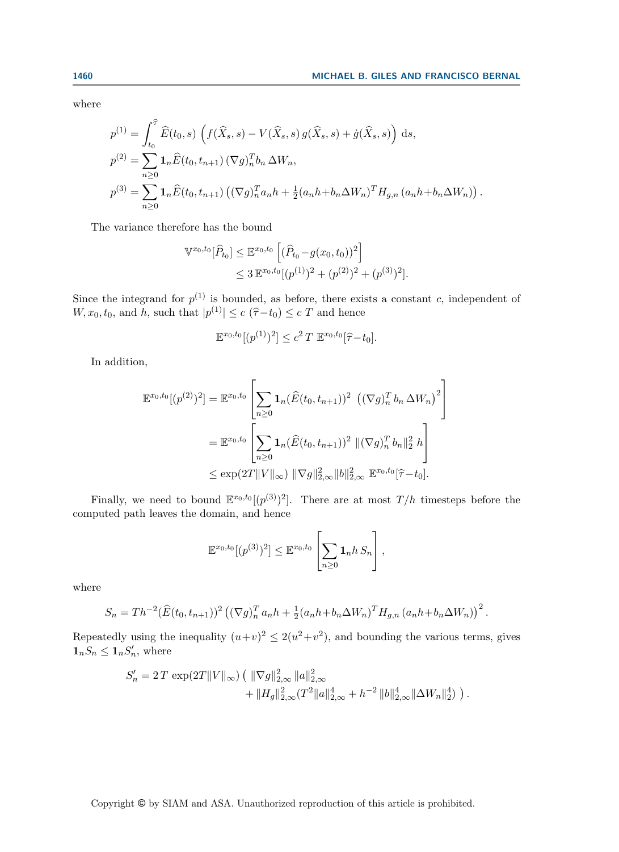where

$$
p^{(1)} = \int_{t_0}^{\hat{\tau}} \hat{E}(t_0, s) \left( f(\hat{X}_s, s) - V(\hat{X}_s, s) g(\hat{X}_s, s) + \dot{g}(\hat{X}_s, s) \right) ds,
$$
  
\n
$$
p^{(2)} = \sum_{n \geq 0} \mathbf{1}_n \hat{E}(t_0, t_{n+1}) \left( \nabla g \right)_n^T b_n \Delta W_n,
$$
  
\n
$$
p^{(3)} = \sum_{n \geq 0} \mathbf{1}_n \hat{E}(t_0, t_{n+1}) \left( (\nabla g)_n^T a_n h + \frac{1}{2} (a_n h + b_n \Delta W_n)^T H_{g,n} (a_n h + b_n \Delta W_n) \right).
$$

The variance therefore has the bound

$$
\begin{split} \mathbb{V}^{x_0, t_0}[\widehat{P}_{t_0}] &\leq \mathbb{E}^{x_0, t_0} \left[ (\widehat{P}_{t_0} - g(x_0, t_0))^2 \right] \\ &\leq 3 \, \mathbb{E}^{x_0, t_0} [(p^{(1)})^2 + (p^{(2)})^2 + (p^{(3)})^2]. \end{split}
$$

Since the integrand for  $p^{(1)}$  is bounded, as before, there exists a constant c, independent of  $W, x_0, t_0$ , and h, such that  $|p^{(1)}| \le c \left(\hat{\tau} - t_0\right) \le c \ T$  and hence

$$
\mathbb{E}^{x_0,t_0}[(p^{(1)})^2] \le c^2 T \mathbb{E}^{x_0,t_0}[\hat{\tau}-t_0].
$$

In addition,

$$
\mathbb{E}^{x_0, t_0}[(p^{(2)})^2] = \mathbb{E}^{x_0, t_0} \left[ \sum_{n \ge 0} \mathbf{1}_n (\widehat{E}(t_0, t_{n+1}))^2 \left( (\nabla g)_n^T b_n \Delta W_n \right)^2 \right]
$$
  
\n
$$
= \mathbb{E}^{x_0, t_0} \left[ \sum_{n \ge 0} \mathbf{1}_n (\widehat{E}(t_0, t_{n+1}))^2 \left( (\nabla g)_n^T b_n \right)_{2}^2 h \right]
$$
  
\n
$$
\le \exp(2T \|V\|_{\infty}) \|\nabla g\|_{2, \infty}^2 \|b\|_{2, \infty}^2 \mathbb{E}^{x_0, t_0}[\widehat{\tau} - t_0].
$$

Finally, we need to bound  $\mathbb{E}^{x_0,t_0}[(p^{(3)})^2]$ . There are at most  $T/h$  timesteps before the computed path leaves the domain, and hence

$$
\mathbb{E}^{x_0,t_0}[(p^{(3)})^2] \leq \mathbb{E}^{x_0,t_0}\left[\sum_{n\geq 0} \mathbf{1}_n h S_n\right],
$$

where

$$
S_n = Th^{-2}(\widehat{E}(t_0, t_{n+1}))^2 ((\nabla g)_n^T a_n h + \frac{1}{2}(a_n h + b_n \Delta W_n)^T H_{g,n} (a_n h + b_n \Delta W_n))^2.
$$

Repeatedly using the inequality  $(u+v)^2 \leq 2(u^2+v^2)$ , and bounding the various terms, gives  $\mathbf{1}_n S_n \leq \mathbf{1}_n S'_n$ , where

$$
S'_{n} = 2 T \exp(2T ||V||_{\infty}) \left( ||\nabla g||_{2,\infty}^{2} ||a||_{2,\infty}^{2} + ||H_{g}||_{2,\infty}^{2} (T^{2} ||a||_{2,\infty}^{4} + h^{-2} ||b||_{2,\infty}^{4} ||\Delta W_{n}||_{2}^{4} ) \right).
$$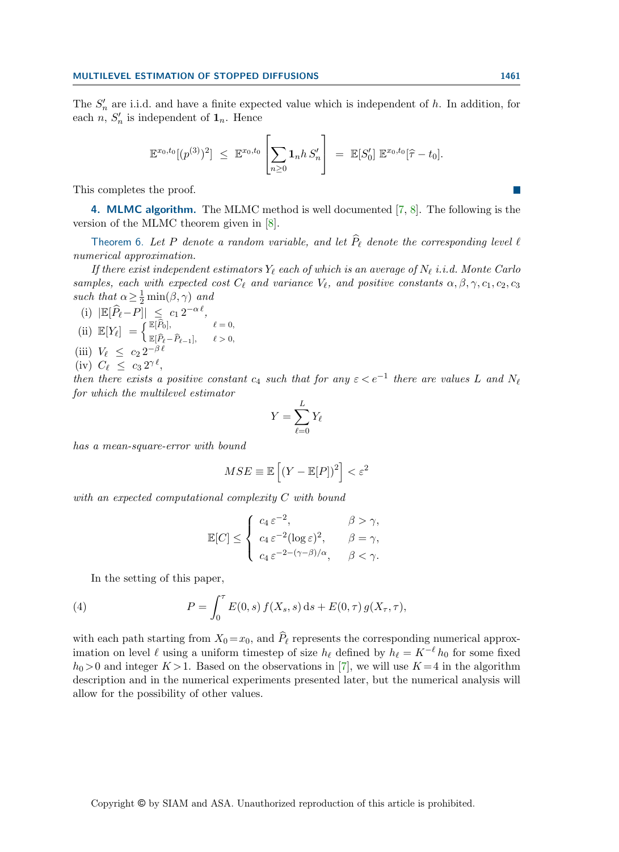The  $S'_n$  are i.i.d. and have a finite expected value which is independent of h. In addition, for each  $n, S'_n$  is independent of  $\mathbf{1}_n$ . Hence

$$
\mathbb{E}^{x_0,t_0}[(p^{(3)})^2] \ \leq \ \mathbb{E}^{x_0,t_0}\left[\sum_{n\geq 0} \mathbf{1}_n h\, S'_n\right] \ = \ \mathbb{E}[S'_0] \ \mathbb{E}^{x_0,t_0}[\widehat{\tau}-t_0].
$$

This completes the proof.

<span id="page-7-1"></span>4. MLMC algorithm. The MLMC method is well documented [\[7,](#page-20-9) [8\]](#page-20-10). The following is the version of the MLMC theorem given in [\[8\]](#page-20-10).

<span id="page-7-2"></span>Theorem 6. Let P denote a random variable, and let  $\widehat{P}_\ell$  denote the corresponding level  $\ell$ numerical approximation.

If there exist independent estimators  $Y_\ell$  each of which is an average of  $N_\ell$  i.i.d. Monte Carlo samples, each with expected cost  $C_{\ell}$  and variance  $V_{\ell}$ , and positive constants  $\alpha, \beta, \gamma, c_1, c_2, c_3$ such that  $\alpha \geq \frac{1}{2} \min(\beta, \gamma)$  and

- (i)  $\left| \mathbb{E}[\widehat{P}_\ell P] \right| \leq c_1 2^{-\alpha \ell},$ (ii)  $\mathbb{E}[Y_\ell] = \begin{cases} \mathbb{E}[\widehat{P}_0], & \ell = 0, \\ \mathbb{E}[\widehat{P}_0, \widehat{P}_0], & \ell \geq 0, \end{cases}$
- $\mathbb{E}[\widehat{P}_\ell-\widehat{P}_{\ell-1}], \qquad \ell > 0,$ (iii)  $V_{\ell} \leq c_2 \, 2^{-\beta \, \ell}$
- (iv)  $C_{\ell} \leq c_3 \, 2^{\gamma \, \ell},$

then there exists a positive constant  $c_4$  such that for any  $\varepsilon < e^{-1}$  there are values L and  $N_\ell$ for which the multilevel estimator

$$
Y = \sum_{\ell=0}^L Y_\ell
$$

has a mean-square-error with bound

$$
MSE \equiv \mathbb{E}\left[ (Y - \mathbb{E}[P])^2 \right] < \varepsilon^2
$$

with an expected computational complexity C with bound

<span id="page-7-0"></span>
$$
\mathbb{E}[C] \leq \begin{cases} c_4 \,\varepsilon^{-2}, & \beta > \gamma, \\ c_4 \,\varepsilon^{-2} (\log \varepsilon)^2, & \beta = \gamma, \\ c_4 \,\varepsilon^{-2 - (\gamma - \beta)/\alpha}, & \beta < \gamma. \end{cases}
$$

In the setting of this paper,

(4) 
$$
P = \int_0^{\tau} E(0, s) f(X_s, s) ds + E(0, \tau) g(X_{\tau}, \tau),
$$

with each path starting from  $X_0 = x_0$ , and  $\hat{P}_\ell$  represents the corresponding numerical approximation on level  $\ell$  using a uniform timestep of size  $h_\ell$  defined by  $h_\ell = K^{-\ell} h_0$  for some fixed  $h_0 > 0$  and integer  $K > 1$ . Based on the observations in [\[7\]](#page-20-9), we will use  $K = 4$  in the algorithm description and in the numerical experiments presented later, but the numerical analysis will allow for the possibility of other values.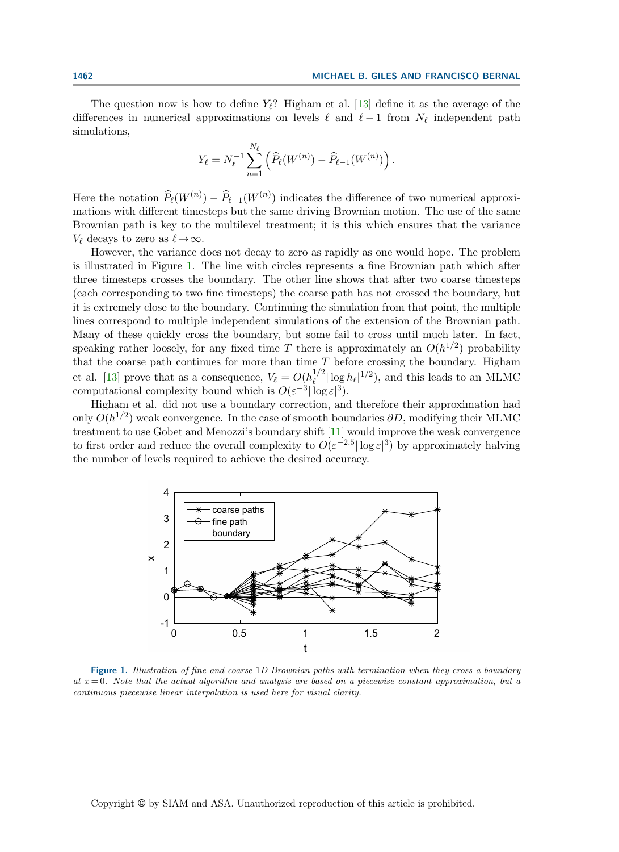The question now is how to define  $Y_{\ell}$ ? Higham et al. [\[13\]](#page-20-6) define it as the average of the differences in numerical approximations on levels  $\ell$  and  $\ell - 1$  from  $N_{\ell}$  independent path simulations,

$$
Y_{\ell} = N_{\ell}^{-1} \sum_{n=1}^{N_{\ell}} \left( \widehat{P}_{\ell}(W^{(n)}) - \widehat{P}_{\ell-1}(W^{(n)}) \right).
$$

Here the notation  $\widehat{P}_{\ell}(W^{(n)}) - \widehat{P}_{\ell-1}(W^{(n)})$  indicates the difference of two numerical approximations with different timesteps but the same driving Brownian motion. The use of the same Brownian path is key to the multilevel treatment; it is this which ensures that the variance  $V_{\ell}$  decays to zero as  $\ell \rightarrow \infty$ .

However, the variance does not decay to zero as rapidly as one would hope. The problem is illustrated in Figure [1.](#page-8-0) The line with circles represents a fine Brownian path which after three timesteps crosses the boundary. The other line shows that after two coarse timesteps (each corresponding to two fine timesteps) the coarse path has not crossed the boundary, but it is extremely close to the boundary. Continuing the simulation from that point, the multiple lines correspond to multiple independent simulations of the extension of the Brownian path. Many of these quickly cross the boundary, but some fail to cross until much later. In fact, speaking rather loosely, for any fixed time T there is approximately an  $O(h^{1/2})$  probability that the coarse path continues for more than time  $T$  before crossing the boundary. Higham et al. [\[13\]](#page-20-6) prove that as a consequence,  $V_{\ell} = O(h_{\ell}^{1/2})$  $\int_{\ell}^{1/2} |\log h_{\ell}|^{1/2}$ , and this leads to an MLMC computational complexity bound which is  $O(\varepsilon^{-3}|\log \varepsilon|^3)$ .

Higham et al. did not use a boundary correction, and therefore their approximation had only  $O(h^{1/2})$  weak convergence. In the case of smooth boundaries  $\partial D$ , modifying their MLMC treatment to use Gobet and Menozzi's boundary shift [\[11\]](#page-20-2) would improve the weak convergence to first order and reduce the overall complexity to  $O(\varepsilon^{-2.5} |\log \varepsilon|^3)$  by approximately halving the number of levels required to achieve the desired accuracy.

<span id="page-8-0"></span>

Figure 1. Illustration of fine and coarse 1D Brownian paths with termination when they cross a boundary at  $x = 0$ . Note that the actual algorithm and analysis are based on a piecewise constant approximation, but a continuous piecewise linear interpolation is used here for visual clarity.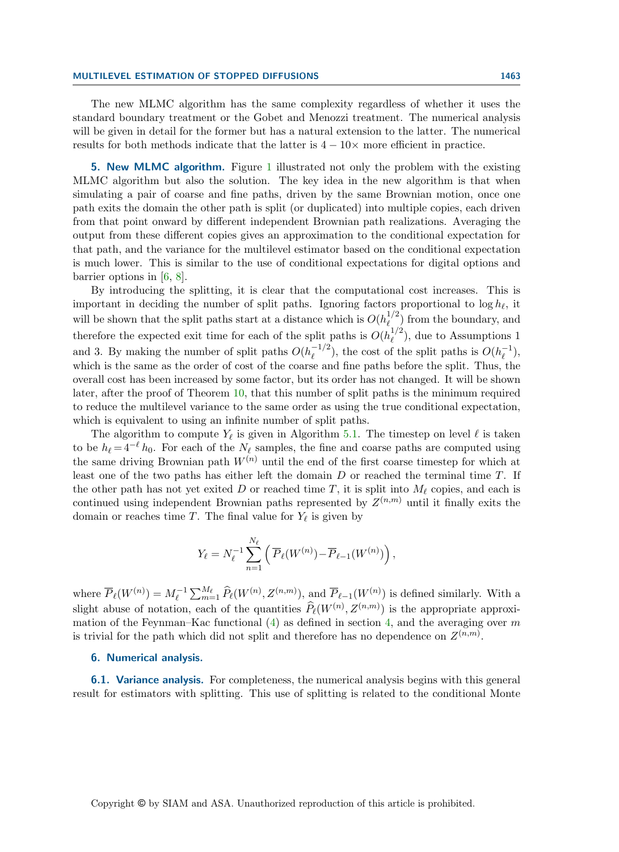## MULTILEVEL ESTIMATION OF STOPPED DIFFUSIONS 1463

The new MLMC algorithm has the same complexity regardless of whether it uses the standard boundary treatment or the Gobet and Menozzi treatment. The numerical analysis will be given in detail for the former but has a natural extension to the latter. The numerical results for both methods indicate that the latter is  $4 - 10 \times$  more efficient in practice.

<span id="page-9-0"></span>5. New MLMC algorithm. Figure [1](#page-8-0) illustrated not only the problem with the existing MLMC algorithm but also the solution. The key idea in the new algorithm is that when simulating a pair of coarse and fine paths, driven by the same Brownian motion, once one path exits the domain the other path is split (or duplicated) into multiple copies, each driven from that point onward by different independent Brownian path realizations. Averaging the output from these different copies gives an approximation to the conditional expectation for that path, and the variance for the multilevel estimator based on the conditional expectation is much lower. This is similar to the use of conditional expectations for digital options and barrier options in [\[6,](#page-20-4) [8\]](#page-20-10).

By introducing the splitting, it is clear that the computational cost increases. This is important in deciding the number of split paths. Ignoring factors proportional to  $\log h_\ell$ , it will be shown that the split paths start at a distance which is  $O(h_\ell^{1/2})$  $\binom{1}{\ell}$  from the boundary, and therefore the expected exit time for each of the split paths is  $O(h_r^{1/2})$  $\binom{1}{\ell}$ , due to Assumptions 1 and 3. By making the number of split paths  $O(h<sub>\ell</sub><sup>-1/2</sup>)$  $\binom{-1/2}{\ell}$ , the cost of the split paths is  $O(h_{\ell}^{-1})$  $\frac{-1}{\ell}),$ which is the same as the order of cost of the coarse and fine paths before the split. Thus, the overall cost has been increased by some factor, but its order has not changed. It will be shown later, after the proof of Theorem [10,](#page-12-0) that this number of split paths is the minimum required to reduce the multilevel variance to the same order as using the true conditional expectation, which is equivalent to using an infinite number of split paths.

The algorithm to compute  $Y_{\ell}$  is given in Algorithm [5.1.](#page-10-0) The timestep on level  $\ell$  is taken to be  $h_{\ell} = 4^{-\ell} h_0$ . For each of the  $N_{\ell}$  samples, the fine and coarse paths are computed using the same driving Brownian path  $W^{(n)}$  until the end of the first coarse timestep for which at least one of the two paths has either left the domain  $D$  or reached the terminal time  $T$ . If the other path has not yet exited D or reached time T, it is split into  $M_\ell$  copies, and each is continued using independent Brownian paths represented by  $Z^{(n,m)}$  until it finally exits the domain or reaches time T. The final value for  $Y_{\ell}$  is given by

$$
Y_{\ell} = N_{\ell}^{-1} \sum_{n=1}^{N_{\ell}} \left( \overline{P}_{\ell}(W^{(n)}) - \overline{P}_{\ell-1}(W^{(n)}) \right),
$$

where  $\overline{P}_{\ell}(W^{(n)}) = M_{\ell}^{-1} \sum_{m=1}^{M_{\ell}} \widehat{P}_{\ell}(W^{(n)}, Z^{(n,m)})$ , and  $\overline{P}_{\ell-1}(W^{(n)})$  is defined similarly. With a slight abuse of notation, each of the quantities  $\widehat{P}_\ell(W^{(n)}, Z^{(n,m)})$  is the appropriate approximation of the Feynman–Kac functional  $(4)$  as defined in section [4,](#page-7-1) and the averaging over m is trivial for the path which did not split and therefore has no dependence on  $Z^{(n,m)}$ .

### 6. Numerical analysis.

**6.1. Variance analysis.** For completeness, the numerical analysis begins with this general result for estimators with splitting. This use of splitting is related to the conditional Monte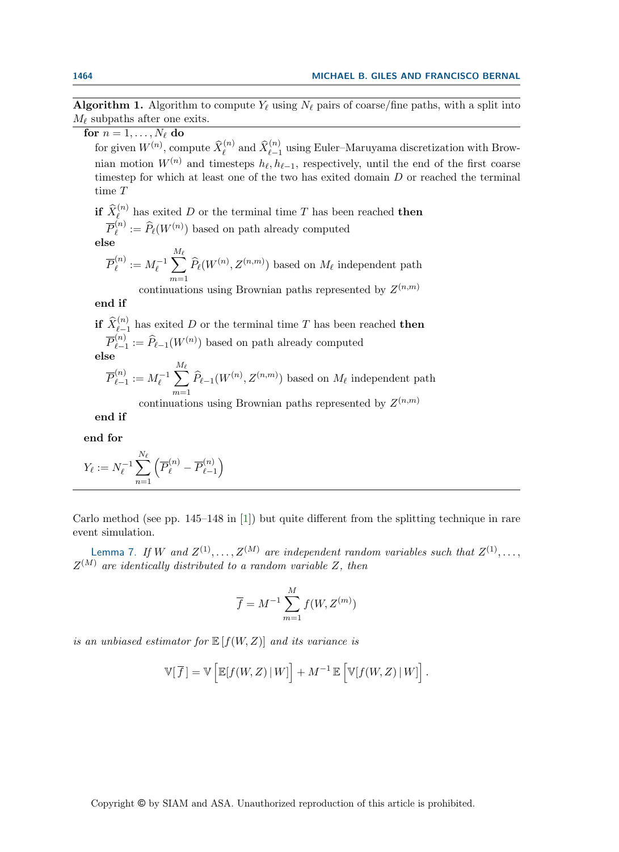**Algorithm 1.** Algorithm to compute  $Y_\ell$  using  $N_\ell$  pairs of coarse/fine paths, with a split into  $M_{\ell}$  subpaths after one exits.

<span id="page-10-0"></span>for  $n = 1, \ldots, N_{\ell}$  do

for given  $W^{(n)}$ , compute  $\widehat{X}_{\ell}^{(n)}$  and  $\widehat{X}_{\ell-1}^{(n)}$  using Euler–Maruyama discretization with Brownian motion  $W^{(n)}$  and timesteps  $h_{\ell}, h_{\ell-1}$ , respectively, until the end of the first coarse timestep for which at least one of the two has exited domain  $D$  or reached the terminal time T

if  $\widehat{X}_{\ell}^{(n)}$  has exited D or the terminal time T has been reached then  $\overline{P}_\ell^{(n)}$  $\widehat{P}_{\ell}(W^{(n)})$  based on path already computed

$$
\overline{\textbf{else}}
$$

$$
\overline{P}_{\ell}^{(n)} := M_{\ell}^{-1} \sum_{m=1}^{M_{\ell}} \widehat{P}_{\ell}(W^{(n)}, Z^{(n,m)})
$$
 based on  $M_{\ell}$  independent path  
continuous using Brownian paths represented by  $Z^{(n,m)}$ 

end if

**if**  $\widehat{X}_{\ell-1}^{(n)}$  has exited D or the terminal time T has been reached **then**  $\overline{P}_{\ell-}^{(n)}$  $\widehat{P}_{\ell-1} := \widehat{P}_{\ell-1}(W^{(n)})$  based on path already computed else

$$
\overline{P}_{\ell-1}^{(n)} := M_{\ell}^{-1} \sum_{m=1}^{M_{\ell}} \widehat{P}_{\ell-1}(W^{(n)}, Z^{(n,m)}) \text{ based on } M_{\ell} \text{ independent path}
$$

continuations using Brownian paths represented by  $Z^{(n,m)}$ 

end if

end for

$$
Y_{\ell} := N_{\ell}^{-1} \sum_{n=1}^{N_{\ell}} \left( \overline{P}_{\ell}^{(n)} - \overline{P}_{\ell-1}^{(n)} \right)
$$

Carlo method (see pp. 145–148 in [\[1\]](#page-19-2)) but quite different from the splitting technique in rare event simulation.

Lemma 7. If W and  $Z^{(1)}, \ldots, Z^{(M)}$  are independent random variables such that  $Z^{(1)}, \ldots,$  $Z^{(M)}$  are identically distributed to a random variable Z, then

$$
\overline{f} = M^{-1} \sum_{m=1}^{M} f(W, Z^{(m)})
$$

is an unbiased estimator for  $\mathbb{E}[f(W, Z)]$  and its variance is

$$
\mathbb{V}[\overline{f}] = \mathbb{V}\left[\mathbb{E}[f(W,Z) | W]\right] + M^{-1} \mathbb{E}\left[\mathbb{V}[f(W,Z) | W]\right].
$$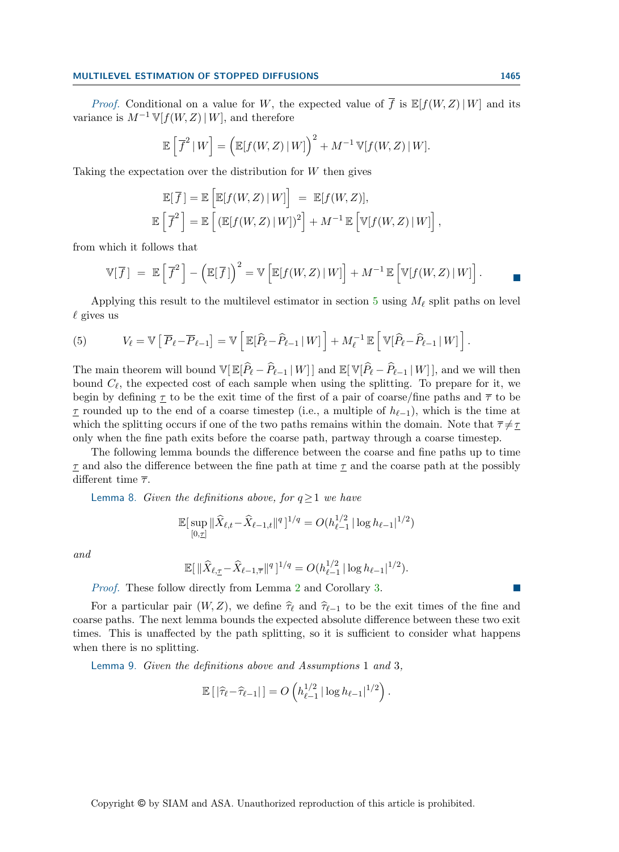## MULTILEVEL ESTIMATION OF STOPPED DIFFUSIONS 1465

*Proof.* Conditional on a value for W, the expected value of  $\overline{f}$  is  $\mathbb{E}[f(W, Z)| W]$  and its variance is  $M^{-1} V[f(W, Z) | W]$ , and therefore

$$
\mathbb{E}\left[\overline{f}^2 | W\right] = \left(\mathbb{E}[f(W,Z) | W]\right)^2 + M^{-1} \mathbb{V}[f(W,Z) | W].
$$

Taking the expectation over the distribution for  $W$  then gives

$$
\mathbb{E}[\overline{f}] = \mathbb{E}\left[\mathbb{E}[f(W,Z) | W]\right] = \mathbb{E}[f(W,Z)],
$$
  

$$
\mathbb{E}\left[\overline{f}^2\right] = \mathbb{E}\left[\left(\mathbb{E}[f(W,Z) | W]\right)^2\right] + M^{-1} \mathbb{E}\left[\mathbb{V}[f(W,Z) | W]\right],
$$

from which it follows that

$$
\mathbb{V}[\overline{f}] = \mathbb{E}\left[\overline{f}^2\right] - \left(\mathbb{E}[\overline{f}]\right)^2 = \mathbb{V}\left[\mathbb{E}[f(W, Z) | W]\right] + M^{-1} \mathbb{E}\left[\mathbb{V}[f(W, Z) | W]\right].
$$

Applying this result to the multilevel estimator in section [5](#page-9-0) using  $M_{\ell}$  split paths on level  $\ell$  gives us

<span id="page-11-2"></span>(5) 
$$
V_{\ell} = \mathbb{V}\left[\overline{P}_{\ell} - \overline{P}_{\ell-1}\right] = \mathbb{V}\left[\mathbb{E}[\widehat{P}_{\ell} - \widehat{P}_{\ell-1} | W]\right] + M_{\ell}^{-1} \mathbb{E}\left[\mathbb{V}[\widehat{P}_{\ell} - \widehat{P}_{\ell-1} | W]\right].
$$

The main theorem will bound  $\mathbb{V}[\mathbb{E}[\hat{P}_\ell - \hat{P}_{\ell-1} | W]]$  and  $\mathbb{E}[\mathbb{V}[\hat{P}_\ell - \hat{P}_{\ell-1} | W]]$ , and we will then bound  $C_{\ell}$ , the expected cost of each sample when using the splitting. To prepare for it, we begin by defining  $\underline{\tau}$  to be the exit time of the first of a pair of coarse/fine paths and  $\overline{\tau}$  to be <u>τ</u> rounded up to the end of a coarse timestep (i.e., a multiple of  $h_{\ell-1}$ ), which is the time at which the splitting occurs if one of the two paths remains within the domain. Note that  $\bar{\tau} \neq \tau$ only when the fine path exits before the coarse path, partway through a coarse timestep.

The following lemma bounds the difference between the coarse and fine paths up to time  $\tau$  and also the difference between the fine path at time  $\tau$  and the coarse path at the possibly different time  $\overline{\tau}$ .

<span id="page-11-0"></span>Lemma 8. Given the definitions above, for  $q \ge 1$  we have

$$
\mathbb{E}[\sup_{[0,\underline{\tau}]} \|\widehat{X}_{\ell,t} - \widehat{X}_{\ell-1,t}\|^q]^{1/q} = O(h_{\ell-1}^{1/2} |\log h_{\ell-1}|^{1/2})
$$

and

$$
\mathbb{E}[\|\widehat{X}_{\ell,\underline{\tau}} - \widehat{X}_{\ell-1,\overline{\tau}}\|^q]^{1/q} = O(h_{\ell-1}^{1/2} |\log h_{\ell-1}|^{1/2}).
$$

Proof. These follow directly from Lemma [2](#page-4-0) and Corollary [3.](#page-4-1)

For a particular pair  $(W, Z)$ , we define  $\hat{\tau}_{\ell}$  and  $\hat{\tau}_{\ell-1}$  to be the exit times of the fine and coarse paths. The next lemma bounds the expected absolute difference between these two exit times. This is unaffected by the path splitting, so it is sufficient to consider what happens when there is no splitting.

<span id="page-11-1"></span>Lemma 9. Given the definitions above and Assumptions 1 and 3,

$$
\mathbb{E}\left[\left|\widehat{\tau}_{\ell}-\widehat{\tau}_{\ell-1}\right|\right]=O\left(h_{\ell-1}^{1/2}|\log h_{\ell-1}|^{1/2}\right).
$$

 $\sim$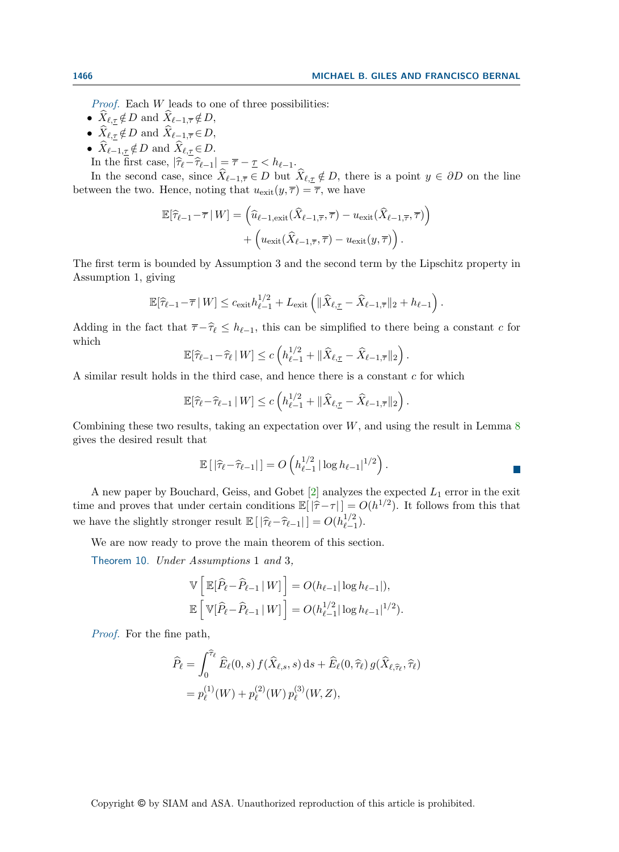*Proof.* Each  $W$  leads to one of three possibilities:

- $\widehat{X}_{\ell,\tau} \notin D$  and  $\widehat{X}_{\ell-1,\overline{\tau}} \notin D$ ,
- $\widehat{X}_{\ell,\underline{\tau}} \notin D$  and  $\widehat{X}_{\ell-1,\overline{\tau}} \in D$ ,
- $\widehat{X}_{\ell-1,\tau} \notin D$  and  $\widehat{X}_{\ell,\tau} \in D$ .
- In the first case,  $|\hat{\tau}_{\ell} \hat{\tau}_{\ell-1}| = \overline{\tau} \underline{\tau} < h_{\ell-1}.$

In the second case, since  $\widehat{X}_{\ell-1,\overline{\tau}} \in D$  but  $\widehat{X}_{\ell,\underline{\tau}} \notin D$ , there is a point  $y \in \partial D$  on the line between the two. Hence, noting that  $u_{\text{exit}}(y, \overline{\tau}) = \overline{\tau}$ , we have

$$
\mathbb{E}[\hat{\tau}_{\ell-1} - \overline{\tau} | W] = \left( \hat{u}_{\ell-1, \text{exit}}(\hat{X}_{\ell-1, \overline{\tau}}, \overline{\tau}) - u_{\text{exit}}(\hat{X}_{\ell-1, \overline{\tau}}, \overline{\tau}) \right) + \left( u_{\text{exit}}(\hat{X}_{\ell-1, \overline{\tau}}, \overline{\tau}) - u_{\text{exit}}(y, \overline{\tau}) \right).
$$

The first term is bounded by Assumption 3 and the second term by the Lipschitz property in Assumption 1, giving

$$
\mathbb{E}[\widehat{\tau}_{\ell-1} - \overline{\tau} \,|\, W] \leq c_{\text{exit}} h_{\ell-1}^{1/2} + L_{\text{exit}} \left( \| \widehat{X}_{\ell, \underline{\tau}} - \widehat{X}_{\ell-1, \overline{\tau}} \|_2 + h_{\ell-1} \right).
$$

Adding in the fact that  $\overline{\tau} - \widehat{\tau}_{\ell} \leq h_{\ell-1}$ , this can be simplified to there being a constant c for which

$$
\mathbb{E}[\widehat{\tau}_{\ell-1} - \widehat{\tau}_{\ell} \,|\, W] \le c \left( h_{\ell-1}^{1/2} + \|\widehat{X}_{\ell, \underline{\tau}} - \widehat{X}_{\ell-1, \overline{\tau}}\|_2 \right).
$$

A similar result holds in the third case, and hence there is a constant c for which

$$
\mathbb{E}[\widehat{\tau}_{\ell} - \widehat{\tau}_{\ell-1} | W] \le c \left( h_{\ell-1}^{1/2} + \| \widehat{X}_{\ell, \tau} - \widehat{X}_{\ell-1, \overline{\tau}} \|_2 \right).
$$

Combining these two results, taking an expectation over  $W$ , and using the result in Lemma [8](#page-11-0) gives the desired result that

$$
\mathbb{E}\left[\left|\widehat{\tau}_{\ell}-\widehat{\tau}_{\ell-1}\right|\right] = O\left(h_{\ell-1}^{1/2}|\log h_{\ell-1}|^{1/2}\right).
$$

A new paper by Bouchard, Geiss, and Gobet  $[2]$  analyzes the expected  $L_1$  error in the exit time and proves that under certain conditions  $\mathbb{E}[|\hat{\tau}-\tau|] = O(h^{1/2})$ . It follows from this that we have the slightly stronger result  $\mathbb{E}[\left|\hat{\tau}_{\ell} - \hat{\tau}_{\ell-1}\right|] = O(h_{\ell-1}^{1/2})$  $_{\ell-1}^{1/2}$ ).

We are now ready to prove the main theorem of this section.

<span id="page-12-0"></span>Theorem 10. Under Assumptions 1 and 3,

$$
\mathbb{V}\left[\mathbb{E}[\widehat{P}_{\ell} - \widehat{P}_{\ell-1} | W] \right] = O(h_{\ell-1}|\log h_{\ell-1}|),
$$
  

$$
\mathbb{E}\left[\mathbb{V}[\widehat{P}_{\ell} - \widehat{P}_{\ell-1} | W] \right] = O(h_{\ell-1}^{1/2}|\log h_{\ell-1}|^{1/2}).
$$

Proof. For the fine path,

$$
\widehat{P}_{\ell} = \int_0^{\widehat{\tau}_{\ell}} \widehat{E}_{\ell}(0, s) f(\widehat{X}_{\ell, s}, s) ds + \widehat{E}_{\ell}(0, \widehat{\tau}_{\ell}) g(\widehat{X}_{\ell, \widehat{\tau}_{\ell}}, \widehat{\tau}_{\ell}) \n= p_{\ell}^{(1)}(W) + p_{\ell}^{(2)}(W) p_{\ell}^{(3)}(W, Z),
$$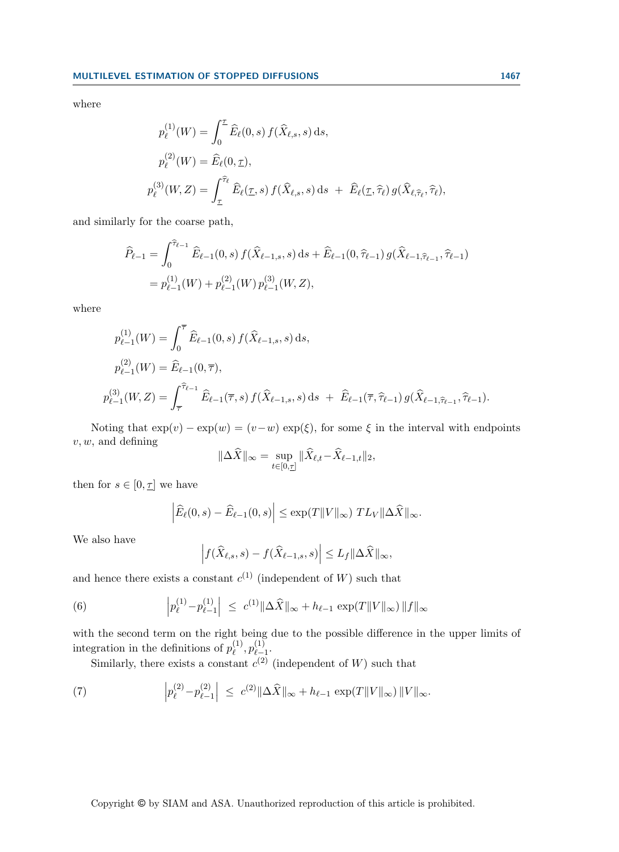where

$$
p_{\ell}^{(1)}(W) = \int_0^{\tau} \widehat{E}_{\ell}(0, s) f(\widehat{X}_{\ell,s}, s) ds,
$$
  
\n
$$
p_{\ell}^{(2)}(W) = \widehat{E}_{\ell}(0, \tau),
$$
  
\n
$$
p_{\ell}^{(3)}(W, Z) = \int_{\tau}^{\widehat{\tau}_{\ell}} \widehat{E}_{\ell}(\tau, s) f(\widehat{X}_{\ell,s}, s) ds + \widehat{E}_{\ell}(\tau, \widehat{\tau}_{\ell}) g(\widehat{X}_{\ell,\widehat{\tau}_{\ell}}, \widehat{\tau}_{\ell}),
$$

and similarly for the coarse path,

$$
\begin{split} \widehat{P}_{\ell-1} &= \int_0^{\widehat{\tau}_{\ell-1}} \widehat{E}_{\ell-1}(0,s) \, f(\widehat{X}_{\ell-1,s},s) \, \mathrm{d}s + \widehat{E}_{\ell-1}(0,\widehat{\tau}_{\ell-1}) \, g(\widehat{X}_{\ell-1,\widehat{\tau}_{\ell-1}},\widehat{\tau}_{\ell-1}) \\ &= p_{\ell-1}^{(1)}(W) + p_{\ell-1}^{(2)}(W) \, p_{\ell-1}^{(3)}(W,Z), \end{split}
$$

where

$$
p_{\ell-1}^{(1)}(W) = \int_0^{\overline{\tau}} \widehat{E}_{\ell-1}(0,s) f(\widehat{X}_{\ell-1,s},s) ds,
$$
  
\n
$$
p_{\ell-1}^{(2)}(W) = \widehat{E}_{\ell-1}(0,\overline{\tau}),
$$
  
\n
$$
p_{\ell-1}^{(3)}(W,Z) = \int_{\overline{\tau}}^{\widehat{\tau}_{\ell-1}} \widehat{E}_{\ell-1}(\overline{\tau},s) f(\widehat{X}_{\ell-1,s},s) ds + \widehat{E}_{\ell-1}(\overline{\tau},\widehat{\tau}_{\ell-1}) g(\widehat{X}_{\ell-1,\widehat{\tau}_{\ell-1}},\widehat{\tau}_{\ell-1}).
$$

Noting that  $exp(v) - exp(w) = (v-w) exp(\xi)$ , for some  $\xi$  in the interval with endpoints  $v, w$ , and defining

$$
\|\Delta \widehat{X}\|_{\infty} = \sup_{t \in [0, \underline{\tau}]} \|\widehat{X}_{\ell, t} - \widehat{X}_{\ell - 1, t}\|_2,
$$

then for  $s \in [0, \tau]$  we have

$$
\left|\widehat{E}_{\ell}(0,s)-\widehat{E}_{\ell-1}(0,s)\right|\leq \exp(T||V||_{\infty}) TL_V ||\Delta \widehat{X}||_{\infty}.
$$

We also have

<span id="page-13-0"></span>
$$
\left| f(\widehat{X}_{\ell,s},s) - f(\widehat{X}_{\ell-1,s},s) \right| \leq L_f \|\Delta \widehat{X}\|_{\infty},
$$

and hence there exists a constant  $c^{(1)}$  (independent of W) such that

(6) 
$$
\left| p_{\ell}^{(1)} - p_{\ell-1}^{(1)} \right| \leq c^{(1)} \|\Delta \widehat{X}\|_{\infty} + h_{\ell-1} \exp(T \|V\|_{\infty}) \|f\|_{\infty}
$$

with the second term on the right being due to the possible difference in the upper limits of integration in the definitions of  $p_{\ell}^{(1)}$  $\stackrel{(1)}{\ell}, p_{\ell-}^{(1)}$  $_{\ell-1}^{(1)}$ .

Similarly, there exists a constant  $c^{(2)}$  (independent of W) such that

(7) 
$$
\left| p_{\ell}^{(2)} - p_{\ell-1}^{(2)} \right| \leq c^{(2)} \|\Delta \widehat{X}\|_{\infty} + h_{\ell-1} \exp(T \|V\|_{\infty}) \|V\|_{\infty}.
$$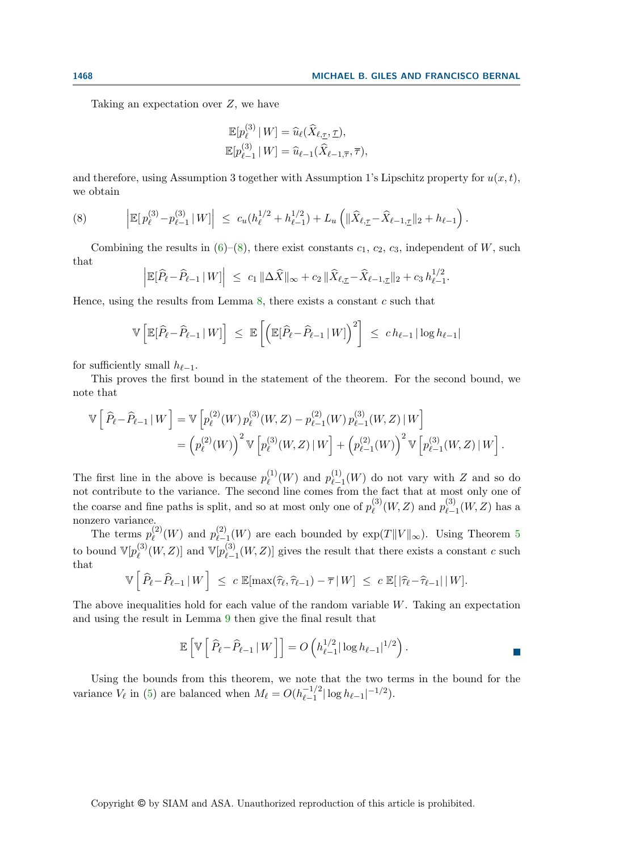Taking an expectation over  $Z$ , we have

$$
\mathbb{E}[p_{\ell}^{(3)} | W] = \widehat{u}_{\ell}(\widehat{X}_{\ell, \underline{\tau}}, \underline{\tau}),
$$
  

$$
\mathbb{E}[p_{\ell-1}^{(3)} | W] = \widehat{u}_{\ell-1}(\widehat{X}_{\ell-1, \overline{\tau}}, \overline{\tau}),
$$

and therefore, using Assumption 3 together with Assumption 1's Lipschitz property for  $u(x, t)$ , we obtain

<span id="page-14-0"></span>(8) 
$$
\left| \mathbb{E} [p_{\ell}^{(3)} - p_{\ell-1}^{(3)} | W] \right| \leq c_u (h_{\ell}^{1/2} + h_{\ell-1}^{1/2}) + L_u \left( \| \widehat{X}_{\ell, \tau} - \widehat{X}_{\ell-1, \tau} \|_2 + h_{\ell-1} \right).
$$

Combining the results in  $(6)-(8)$  $(6)-(8)$  $(6)-(8)$ , there exist constants  $c_1, c_2, c_3$ , independent of W, such that

$$
\left| \mathbb{E}[\widehat{P}_{\ell} - \widehat{P}_{\ell-1} | W] \right| \leq c_1 \| \Delta \widehat{X} \|_{\infty} + c_2 \| \widehat{X}_{\ell, \underline{\tau}} - \widehat{X}_{\ell-1, \underline{\tau}} \|_2 + c_3 h_{\ell-1}^{1/2}.
$$

Hence, using the results from Lemma  $\delta$ , there exists a constant c such that

$$
\mathbb{V}\left[\mathbb{E}[\widehat{P}_{\ell} - \widehat{P}_{\ell-1} | W]\right] \leq \mathbb{E}\left[\left(\mathbb{E}[\widehat{P}_{\ell} - \widehat{P}_{\ell-1} | W]\right)^2\right] \leq c h_{\ell-1} |\log h_{\ell-1}|
$$

for sufficiently small  $h_{\ell-1}$ .

This proves the first bound in the statement of the theorem. For the second bound, we note that

$$
\mathbb{V}\left[\widehat{P}_{\ell} - \widehat{P}_{\ell-1} | W\right] = \mathbb{V}\left[p_{\ell}^{(2)}(W) p_{\ell}^{(3)}(W, Z) - p_{\ell-1}^{(2)}(W) p_{\ell-1}^{(3)}(W, Z) | W\right]
$$
  
=  $\left(p_{\ell}^{(2)}(W)\right)^2 \mathbb{V}\left[p_{\ell}^{(3)}(W, Z) | W\right] + \left(p_{\ell-1}^{(2)}(W)\right)^2 \mathbb{V}\left[p_{\ell-1}^{(3)}(W, Z) | W\right].$ 

The first line in the above is because  $p_{\ell}^{(1)}$  $\ell^{(1)}(W)$  and  $p_{\ell-1}^{(1)}$  $\binom{1}{\ell-1}(W)$  do not vary with Z and so do not contribute to the variance. The second line comes from the fact that at most only one of the coarse and fine paths is split, and so at most only one of  $p_{\ell}^{(3)}$  $p_{\ell}^{(3)}(W,Z)$  and  $p_{\ell-1}^{(3)}$  $\binom{S}{\ell-1}(W, Z)$  has a nonzero variance.

The terms  $p_{\ell}^{(2)}$  $p_{\ell}^{(2)}(W)$  and  $p_{\ell-}^{(2)}$  $\frac{L^2}{L-1}(W)$  are each bounded by  $\exp(T||V||_{\infty})$ . Using Theorem [5](#page-5-0) to bound  $\mathbb{V}[p_{\ell}^{(3)}]$  $\mathcal{L}_{\ell}^{(3)}(W,Z)]$  and  $\mathbb{V}[p_{\ell-}^{(3)}]$  $\binom{S}{\ell-1}(W, Z)$  gives the result that there exists a constant c such that

$$
\mathbb{V}\left[\left\{\widehat{P}_{\ell}-\widehat{P}_{\ell-1}\,|\,W\right\}\right]\,\leq\,c\,\mathbb{E}[\max(\widehat{\tau}_{\ell},\widehat{\tau}_{\ell-1})-\overline{\tau}\,|\,W]\,\leq\,c\,\mathbb{E}[\left|\widehat{\tau}_{\ell}-\widehat{\tau}_{\ell-1}\right|\,|\,W].
$$

The above inequalities hold for each value of the random variable  $W$ . Taking an expectation and using the result in Lemma [9](#page-11-1) then give the final result that

$$
\mathbb{E}\left[\mathbb{V}\left[\left.\widehat{P}_{\ell}-\widehat{P}_{\ell-1}\left|\right.\boldsymbol{W}\right.\right]\right]=O\left(h_{\ell-1}^{1/2}|\log h_{\ell-1}|^{1/2}\right).
$$

Using the bounds from this theorem, we note that the two terms in the bound for the variance  $V_{\ell}$  in [\(5\)](#page-11-2) are balanced when  $M_{\ell} = O(h_{\ell-1}^{-1/2})$  $\frac{-1}{2} |\log h_{\ell-1}|^{-1/2}).$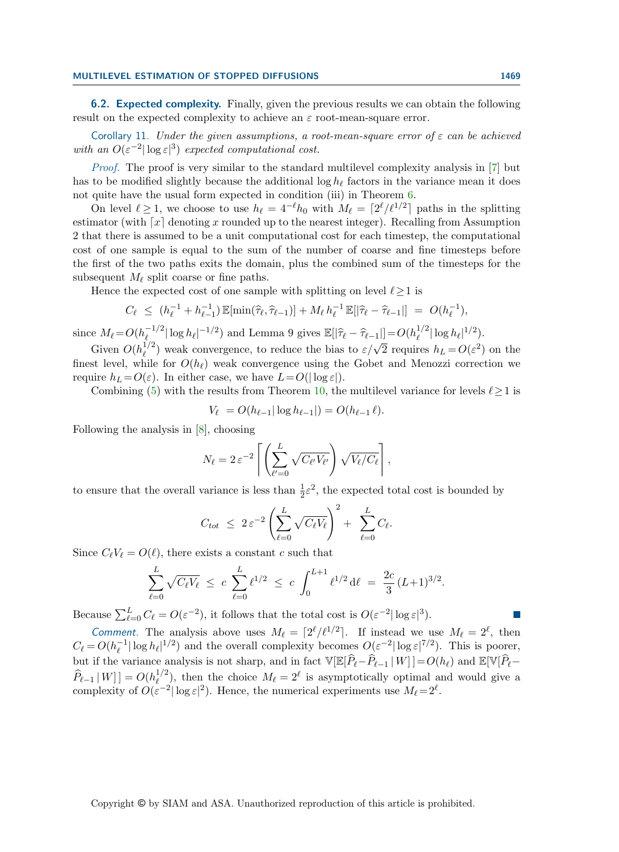6.2. Expected complexity. Finally, given the previous results we can obtain the following result on the expected complexity to achieve an  $\varepsilon$  root-mean-square error.

Corollary 11. Under the given assumptions, a root-mean-square error of  $\varepsilon$  can be achieved with an  $O(\varepsilon^{-2}|\log \varepsilon|^3)$  expected computational cost.

Proof. The proof is very similar to the standard multilevel complexity analysis in [\[7\]](#page-20-9) but has to be modified slightly because the additional  $\log h_\ell$  factors in the variance mean it does not quite have the usual form expected in condition (iii) in Theorem [6.](#page-7-2)

On level  $\ell \geq 1$ , we choose to use  $h_{\ell} = 4^{-\ell}h_0$  with  $M_{\ell} = \lceil 2^{\ell}/\ell^{1/2} \rceil$  paths in the splitting estimator (with  $\lceil x \rceil$  denoting x rounded up to the nearest integer). Recalling from Assumption 2 that there is assumed to be a unit computational cost for each timestep, the computational cost of one sample is equal to the sum of the number of coarse and fine timesteps before the first of the two paths exits the domain, plus the combined sum of the timesteps for the subsequent  $M_\ell$  split coarse or fine paths.

Hence the expected cost of one sample with splitting on level  $\ell \geq 1$  is

$$
C_{\ell} \le (h_{\ell}^{-1} + h_{\ell-1}^{-1}) \mathbb{E}[\min(\widehat{\tau}_{\ell}, \widehat{\tau}_{\ell-1})] + M_{\ell} h_{\ell}^{-1} \mathbb{E}[|\widehat{\tau}_{\ell} - \widehat{\tau}_{\ell-1}|] = O(h_{\ell}^{-1}),
$$

since  $M_{\ell} = O(h_{\ell}^{-1/2})$  $\mathbb{E}[|\hat{\tau}_{\ell} - \hat{\tau}_{\ell-1}|] = O(h_{\ell}^{1/2})$  and Lemma 9 gives  $\mathbb{E}[|\hat{\tau}_{\ell} - \hat{\tau}_{\ell-1}|] = O(h_{\ell}^{1/2})$  $_{\ell}^{1/2} |\log h_{\ell}|^{1/2}).$  $\frac{1}{2}$  weak convergence, to reduce the bias to  $\varepsilon/\sqrt{2}$  requires  $h_L = O(\varepsilon^2)$  on the

Given  $O(h_\ell^{1/2})$ finest level, while for  $O(h_\ell)$  weak convergence using the Gobet and Menozzi correction we require  $h_L = O(\varepsilon)$ . In either case, we have  $L = O(|\log \varepsilon|)$ .

Combining [\(5\)](#page-11-2) with the results from Theorem [10,](#page-12-0) the multilevel variance for levels  $\ell \geq 1$  is

$$
V_{\ell} = O(h_{\ell-1}|\log h_{\ell-1}|) = O(h_{\ell-1}\ell).
$$

Following the analysis in [\[8\]](#page-20-10), choosing

$$
N_{\ell} = 2 \, \varepsilon^{-2} \left[ \left( \sum_{\ell'=0}^{L} \sqrt{C_{\ell'} V_{\ell'}} \right) \sqrt{V_{\ell}/C_{\ell}} \right],
$$

to ensure that the overall variance is less than  $\frac{1}{2}\varepsilon^2$ , the expected total cost is bounded by

$$
C_{tot} \leq 2 \varepsilon^{-2} \left( \sum_{\ell=0}^{L} \sqrt{C_{\ell} V_{\ell}} \right)^2 + \sum_{\ell=0}^{L} C_{\ell}.
$$

Since  $C_{\ell}V_{\ell} = O(\ell)$ , there exists a constant c such that

$$
\sum_{\ell=0}^{L} \sqrt{C_{\ell}V_{\ell}} \leq c \sum_{\ell=0}^{L} {\ell}^{1/2} \leq c \int_0^{L+1} {\ell}^{1/2} d\ell = \frac{2c}{3} (L+1)^{3/2}.
$$

Because  $\sum_{\ell=0}^{L} C_{\ell} = O(\varepsilon^{-2})$ , it follows that the total cost is  $O(\varepsilon^{-2}|\log \varepsilon|^3)$ .

Comment. The analysis above uses  $M_\ell = \lceil 2^\ell / \ell^{1/2} \rceil$ . If instead we use  $M_\ell = 2^\ell$ , then  $C_{\ell} = O(h_{\ell}^{-1})$  $|\ell|\log h_\ell|^{1/2}$  and the overall complexity becomes  $O(\varepsilon^{-2}|\log \varepsilon|^{7/2})$ . This is poorer, but if the variance analysis is not sharp, and in fact  $\mathbb{V}[\mathbb{E}[\hat{P}_\ell-\hat{P}_{\ell-1} | W]] = O(h_\ell)$  and  $\mathbb{E}[\mathbb{V}[\hat{P}_\ell-\hat{P}_\ell]$  $\widehat{P}_{\ell-1} | W ] ] = O(h_{\ell}^{1/2})$  $\ell^{1/2}_{\ell}$ , then the choice  $M_{\ell} = 2^{\ell}$  is asymptotically optimal and would give a complexity of  $O(\varepsilon^{-2}|\log \varepsilon|^2)$ . Hence, the numerical experiments use  $M_\ell = 2^\ell$ .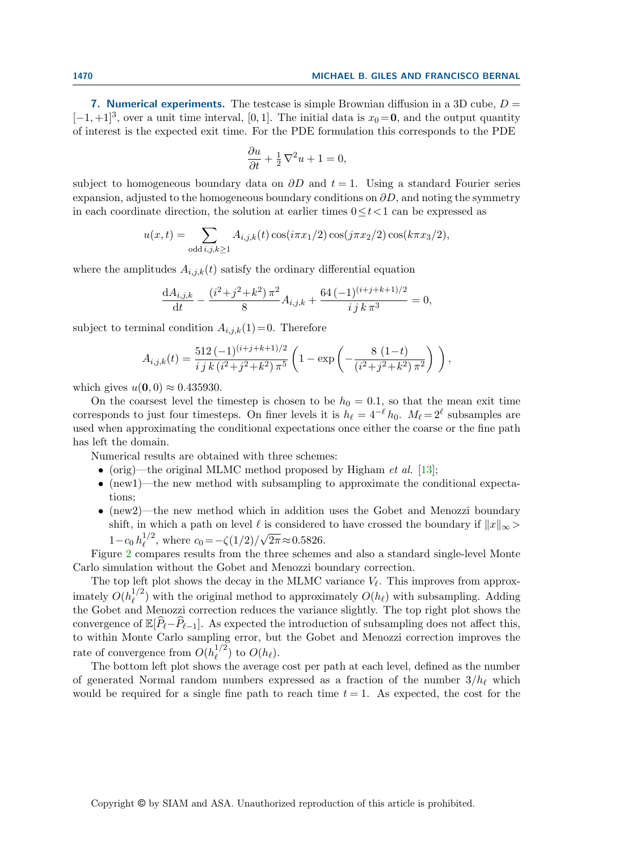7. Numerical experiments. The testcase is simple Brownian diffusion in a 3D cube,  $D =$  $[-1, +1]^3$ , over a unit time interval, [0, 1]. The initial data is  $x_0 = 0$ , and the output quantity of interest is the expected exit time. For the PDE formulation this corresponds to the PDE

$$
\frac{\partial u}{\partial t} + \frac{1}{2}\nabla^2 u + 1 = 0,
$$

subject to homogeneous boundary data on  $\partial D$  and  $t = 1$ . Using a standard Fourier series expansion, adjusted to the homogeneous boundary conditions on  $\partial D$ , and noting the symmetry in each coordinate direction, the solution at earlier times  $0 \le t < 1$  can be expressed as

$$
u(x,t) = \sum_{\text{odd }i,j,k \ge 1} A_{i,j,k}(t) \cos(i\pi x_1/2) \cos(j\pi x_2/2) \cos(k\pi x_3/2),
$$

where the amplitudes  $A_{i,j,k}(t)$  satisfy the ordinary differential equation

$$
\frac{\mathrm{d}A_{i,j,k}}{\mathrm{d}t} - \frac{(i^2+j^2+k^2)\,\pi^2}{8}A_{i,j,k} + \frac{64\,(-1)^{(i+j+k+1)/2}}{i\,j\,k\,\pi^3} = 0,
$$

subject to terminal condition  $A_{i,j,k}(1)=0$ . Therefore

$$
A_{i,j,k}(t) = \frac{512 (-1)^{(i+j+k+1)/2}}{i j k (i^2+j^2+k^2) \pi^5} \left(1 - \exp\left(-\frac{8 (1-t)}{(i^2+j^2+k^2) \pi^2}\right)\right),
$$

which gives  $u(\mathbf{0}, 0) \approx 0.435930$ .

On the coarsest level the timestep is chosen to be  $h_0 = 0.1$ , so that the mean exit time corresponds to just four timesteps. On finer levels it is  $h_{\ell} = 4^{-\ell} h_0$ .  $M_{\ell} = 2^{\ell}$  subsamples are used when approximating the conditional expectations once either the coarse or the fine path has left the domain.

Numerical results are obtained with three schemes:

- (orig)—the original MLMC method proposed by Higham *et al.* [\[13\]](#page-20-6);
- (new1)—the new method with subsampling to approximate the conditional expectations;
- (new2)—the new method which in addition uses the Gobet and Menozzi boundary shift, in which a path on level  $\ell$  is considered to have crossed the boundary if  $||x||_{\infty} >$  $1 - c_0 h_\ell^{1/2}$  $\zeta_{\ell}^{1/2}$ , where  $c_0 = -\zeta(1/2)/\sqrt{2\pi} \approx 0.5826$ .

Figure [2](#page-17-0) compares results from the three schemes and also a standard single-level Monte Carlo simulation without the Gobet and Menozzi boundary correction.

The top left plot shows the decay in the MLMC variance  $V_{\ell}$ . This improves from approximately  $O(h_\ell^{1/2})$  $\ell^{1/2}$ ) with the original method to approximately  $O(h_{\ell})$  with subsampling. Adding the Gobet and Menozzi correction reduces the variance slightly. The top right plot shows the convergence of  $\mathbb{E}[\widehat{P}_{\ell}-\widehat{P}_{\ell-1}]$ . As expected the introduction of subsampling does not affect this, to within Monte Carlo sampling error, but the Gobet and Menozzi correction improves the rate of convergence from  $O(h_\ell^{1/2})$  $\binom{1}{\ell}$  to  $O(h_{\ell}).$ 

The bottom left plot shows the average cost per path at each level, defined as the number of generated Normal random numbers expressed as a fraction of the number  $3/h_\ell$  which would be required for a single fine path to reach time  $t = 1$ . As expected, the cost for the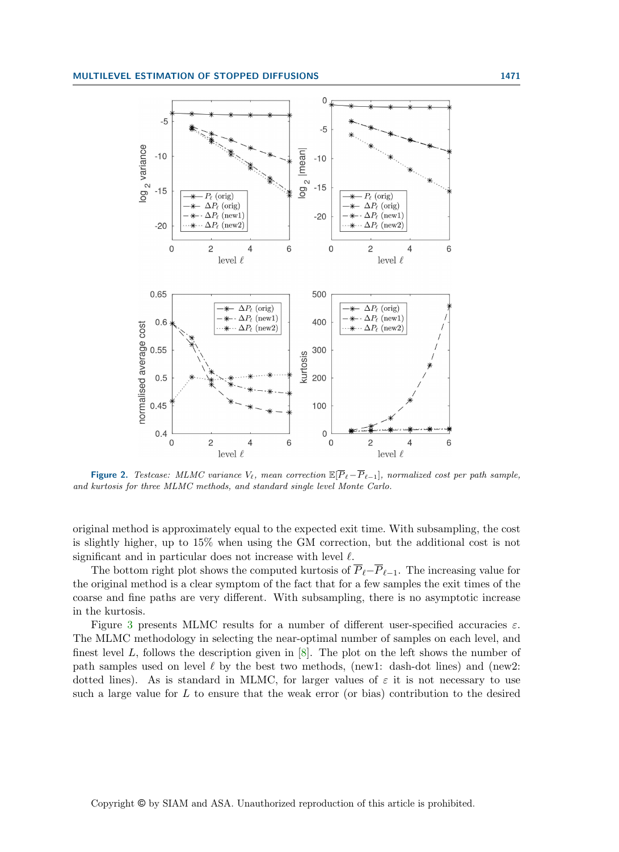<span id="page-17-0"></span>

Figure 2. Testcase: MLMC variance  $V_{\ell}$ , mean correction  $\mathbb{E}[\overline{P}_{\ell}-\overline{P}_{\ell-1}]$ , normalized cost per path sample, and kurtosis for three MLMC methods, and standard single level Monte Carlo.

original method is approximately equal to the expected exit time. With subsampling, the cost is slightly higher, up to 15% when using the GM correction, but the additional cost is not significant and in particular does not increase with level  $\ell$ .

The bottom right plot shows the computed kurtosis of  $\overline{P}_{\ell}-\overline{P}_{\ell-1}$ . The increasing value for the original method is a clear symptom of the fact that for a few samples the exit times of the coarse and fine paths are very different. With subsampling, there is no asymptotic increase in the kurtosis.

Figure [3](#page-18-0) presents MLMC results for a number of different user-specified accuracies  $ε$ . The MLMC methodology in selecting the near-optimal number of samples on each level, and finest level  $L$ , follows the description given in  $[8]$ . The plot on the left shows the number of path samples used on level  $\ell$  by the best two methods, (new1: dash-dot lines) and (new2: dotted lines). As is standard in MLMC, for larger values of  $\varepsilon$  it is not necessary to use such a large value for  $L$  to ensure that the weak error (or bias) contribution to the desired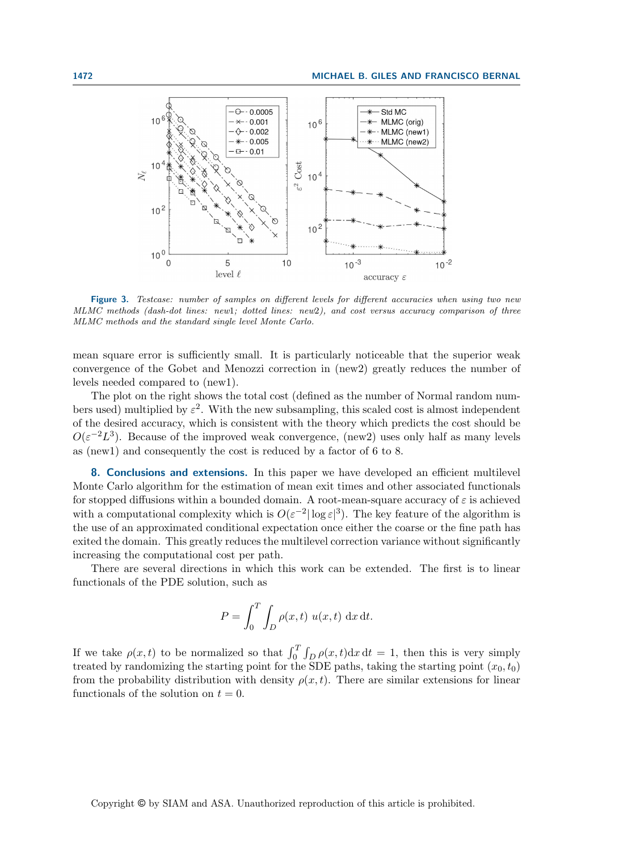<span id="page-18-0"></span>

Figure 3. Testcase: number of samples on different levels for different accuracies when using two new MLMC methods (dash-dot lines: new1; dotted lines: new2), and cost versus accuracy comparison of three MLMC methods and the standard single level Monte Carlo.

mean square error is sufficiently small. It is particularly noticeable that the superior weak convergence of the Gobet and Menozzi correction in (new2) greatly reduces the number of levels needed compared to (new1).

The plot on the right shows the total cost (defined as the number of Normal random numbers used) multiplied by  $\varepsilon^2$ . With the new subsampling, this scaled cost is almost independent of the desired accuracy, which is consistent with the theory which predicts the cost should be  $O(\varepsilon^{-2}L^3)$ . Because of the improved weak convergence, (new2) uses only half as many levels as (new1) and consequently the cost is reduced by a factor of 6 to 8.

8. Conclusions and extensions. In this paper we have developed an efficient multilevel Monte Carlo algorithm for the estimation of mean exit times and other associated functionals for stopped diffusions within a bounded domain. A root-mean-square accuracy of  $\varepsilon$  is achieved with a computational complexity which is  $O(\varepsilon^{-2}|\log \varepsilon|^3)$ . The key feature of the algorithm is the use of an approximated conditional expectation once either the coarse or the fine path has exited the domain. This greatly reduces the multilevel correction variance without significantly increasing the computational cost per path.

There are several directions in which this work can be extended. The first is to linear functionals of the PDE solution, such as

$$
P = \int_0^T \int_D \rho(x, t) u(x, t) dx dt.
$$

If we take  $\rho(x,t)$  to be normalized so that  $\int_0^T \int_D \rho(x,t) dx dt = 1$ , then this is very simply treated by randomizing the starting point for the SDE paths, taking the starting point  $(x_0, t_0)$ from the probability distribution with density  $\rho(x, t)$ . There are similar extensions for linear functionals of the solution on  $t = 0$ .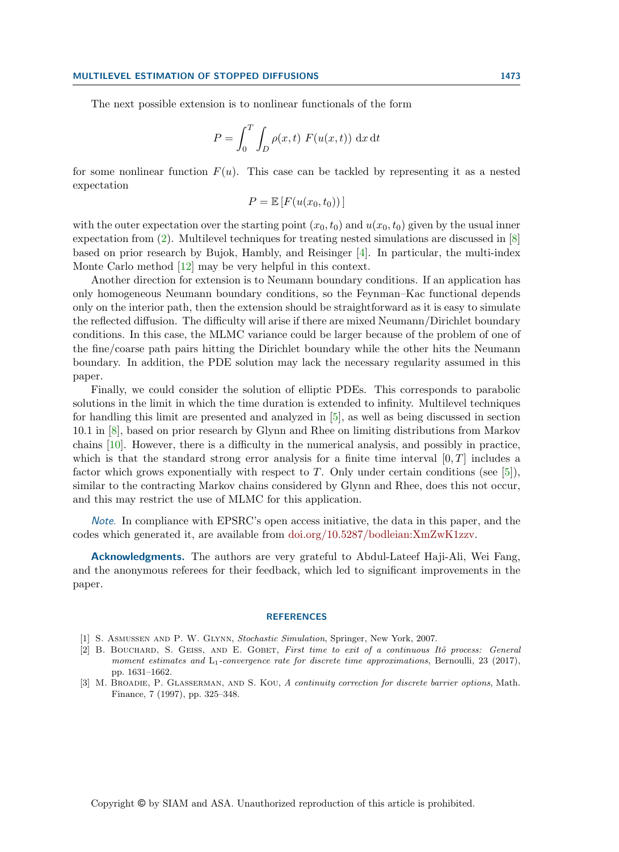The next possible extension is to nonlinear functionals of the form

$$
P = \int_0^T \int_D \rho(x, t) F(u(x, t)) dx dt
$$

for some nonlinear function  $F(u)$ . This case can be tackled by representing it as a nested expectation

$$
P = \mathbb{E}\left[F(u(x_0, t_0))\right]
$$

with the outer expectation over the starting point  $(x_0, t_0)$  and  $u(x_0, t_0)$  given by the usual inner expectation from [\(2\)](#page-0-0). Multilevel techniques for treating nested simulations are discussed in [\[8\]](#page-20-10) based on prior research by Bujok, Hambly, and Reisinger [\[4\]](#page-20-11). In particular, the multi-index Monte Carlo method [\[12\]](#page-20-12) may be very helpful in this context.

Another direction for extension is to Neumann boundary conditions. If an application has only homogeneous Neumann boundary conditions, so the Feynman–Kac functional depends only on the interior path, then the extension should be straightforward as it is easy to simulate the reflected diffusion. The difficulty will arise if there are mixed Neumann/Dirichlet boundary conditions. In this case, the MLMC variance could be larger because of the problem of one of the fine/coarse path pairs hitting the Dirichlet boundary while the other hits the Neumann boundary. In addition, the PDE solution may lack the necessary regularity assumed in this paper.

Finally, we could consider the solution of elliptic PDEs. This corresponds to parabolic solutions in the limit in which the time duration is extended to infinity. Multilevel techniques for handling this limit are presented and analyzed in [\[5\]](#page-20-13), as well as being discussed in section 10.1 in [\[8\]](#page-20-10), based on prior research by Glynn and Rhee on limiting distributions from Markov chains [\[10\]](#page-20-14). However, there is a difficulty in the numerical analysis, and possibly in practice, which is that the standard strong error analysis for a finite time interval  $[0, T]$  includes a factor which grows exponentially with respect to  $T$ . Only under certain conditions (see [\[5\]](#page-20-13)), similar to the contracting Markov chains considered by Glynn and Rhee, does this not occur, and this may restrict the use of MLMC for this application.

Note. In compliance with EPSRC's open access initiative, the data in this paper, and the codes which generated it, are available from [doi.org/10.5287/bodleian:XmZwK1zzv.](https://dx.doi.org/10.5287/bodleian:XmZwK1zzv)

Acknowledgments. The authors are very grateful to Abdul-Lateef Haji-Ali, Wei Fang, and the anonymous referees for their feedback, which led to significant improvements in the paper.

#### **REFERENCES**

- <span id="page-19-2"></span>[1] S. Asmussen and P. W. Glynn, Stochastic Simulation, Springer, New York, 2007.
- <span id="page-19-1"></span>[2] B. BOUCHARD, S. GEISS, AND E. GOBET, First time to exit of a continuous Itô process: General moment estimates and  $L_1$ -convergence rate for discrete time approximations, Bernoulli, 23 (2017), pp. 1631–1662.
- <span id="page-19-0"></span>[3] M. BROADIE, P. GLASSERMAN, AND S. KOU, A continuity correction for discrete barrier options, Math. Finance, 7 (1997), pp. 325–348.